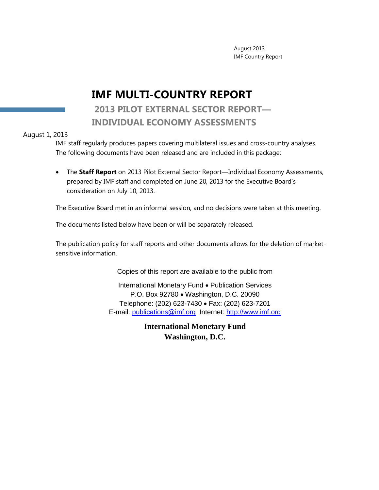August 2013 IMF Country Report

# **IMF MULTI-COUNTRY REPORT**

### **2013 PILOT EXTERNAL SECTOR REPORT— INDIVIDUAL ECONOMY ASSESSMENTS**

#### August 1, 2013

IMF staff regularly produces papers covering multilateral issues and cross-country analyses. The following documents have been released and are included in this package:

 The **Staff Report** on 2013 Pilot External Sector Report—Individual Economy Assessments, prepared by IMF staff and completed on June 20, 2013 for the Executive Board's consideration on July 10, 2013.

The Executive Board met in an informal session, and no decisions were taken at this meeting.

The documents listed below have been or will be separately released.

The publication policy for staff reports and other documents allows for the deletion of marketsensitive information.

Copies of this report are available to the public from

International Monetary Fund . Publication Services P.O. Box 92780 Washington, D.C. 20090 Telephone: (202) 623-7430 Fax: (202) 623-7201 E-mail: [publications@imf.org](mailto:publications@imf.org) Internet: [http://www.imf.org](http://www.imf.org/)

> **International Monetary Fund Washington, D.C.**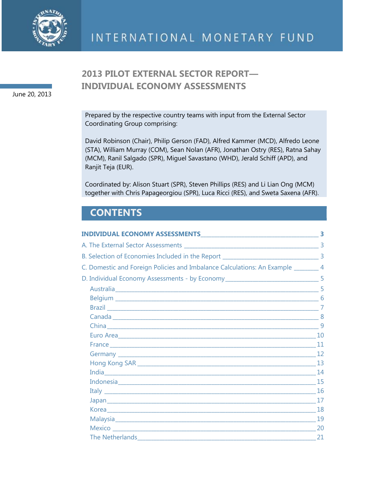

June 20, 2013

## **2013 PILOT EXTERNAL SECTOR REPORT— INDIVIDUAL ECONOMY ASSESSMENTS**

Prepared by the respective country teams with input from the External Sector Coordinating Group comprising:

David Robinson (Chair), Philip Gerson (FAD), Alfred Kammer (MCD), Alfredo Leone (STA), William Murray (COM), Sean Nolan (AFR), Jonathan Ostry (RES), Ratna Sahay (MCM), Ranil Salgado (SPR), Miguel Savastano (WHD), Jerald Schiff (APD), and Ranjit Teja (EUR).

Coordinated by: Alison Stuart (SPR), Steven Phillips (RES) and Li Lian Ong (MCM) together with Chris Papageorgiou (SPR), Luca Ricci (RES), and Sweta Saxena (AFR).

# **CONTENTS**

| C. Domestic and Foreign Policies and Imbalance Calculations: An Example ________ 4 |  |
|------------------------------------------------------------------------------------|--|
| D. Individual Economy Assessments - by Economy _________________________________5  |  |
|                                                                                    |  |
|                                                                                    |  |
|                                                                                    |  |
|                                                                                    |  |
|                                                                                    |  |
|                                                                                    |  |
|                                                                                    |  |
|                                                                                    |  |
|                                                                                    |  |
|                                                                                    |  |
|                                                                                    |  |
|                                                                                    |  |
|                                                                                    |  |
|                                                                                    |  |
|                                                                                    |  |
|                                                                                    |  |
|                                                                                    |  |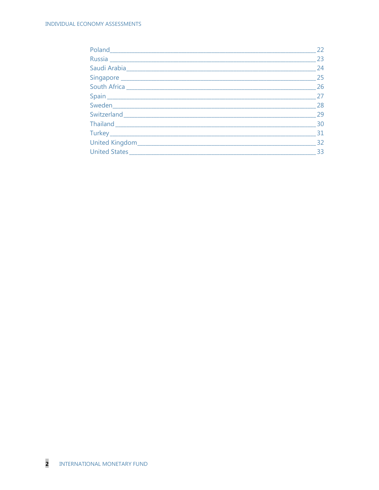| 22 |
|----|
| 23 |
| 24 |
| 25 |
| 26 |
| 27 |
| 28 |
| 29 |
| 30 |
| 31 |
| 32 |
| 33 |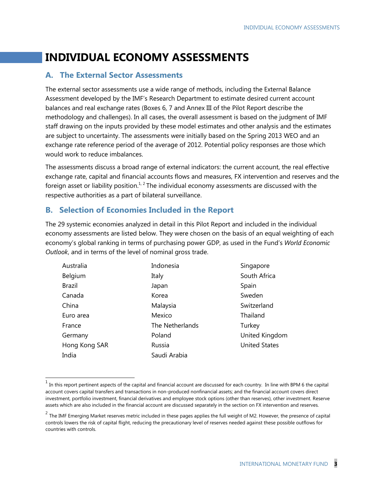# **INDIVIDUAL ECONOMY ASSESSMENTS**

### **A. The External Sector Assessments**

The external sector assessments use a wide range of methods, including the External Balance Assessment developed by the IMF's Research Department to estimate desired current account balances and real exchange rates (Boxes 6, 7 and Annex III of the Pilot Report describe the methodology and challenges). In all cases, the overall assessment is based on the judgment of IMF staff drawing on the inputs provided by these model estimates and other analysis and the estimates are subject to uncertainty. The assessments were initially based on the Spring 2013 WEO and an exchange rate reference period of the average of 2012. Potential policy responses are those which would work to reduce imbalances.

The assessments discuss a broad range of external indicators: the current account, the real effective exchange rate, capital and financial accounts flows and measures, FX intervention and reserves and the foreign asset or liability position.<sup>1, 2</sup> The individual economy assessments are discussed with the respective authorities as a part of bilateral surveillance.

### **B. Selection of Economies Included in the Report**

 $\overline{a}$ 

The 29 systemic economies analyzed in detail in this Pilot Report and included in the individual economy assessments are listed below. They were chosen on the basis of an equal weighting of each economy's global ranking in terms of purchasing power GDP, as used in the Fund's *World Economic Outlook*, and in terms of the level of nominal gross trade.

| Australia     | Indonesia       | Singapore            |
|---------------|-----------------|----------------------|
| Belgium       | Italy           | South Africa         |
| <b>Brazil</b> | Japan           | Spain                |
| Canada        | Korea           | Sweden               |
| China         | Malaysia        | Switzerland          |
| Euro area     | Mexico          | Thailand             |
| France        | The Netherlands | Turkey               |
| Germany       | Poland          | United Kingdom       |
| Hong Kong SAR | Russia          | <b>United States</b> |
| India         | Saudi Arabia    |                      |

 $<sup>1</sup>$  In this report pertinent aspects of the capital and financial account are discussed for each country. In line with BPM 6 the capital</sup> account covers capital transfers and transactions in non-produced nonfinancial assets; and the financial account covers direct investment, portfolio investment, financial derivatives and employee stock options (other than reserves), other investment. Reserve assets which are also included in the financial account are discussed separately in the section on FX intervention and reserves.

 $^2$  The IMF Emerging Market reserves metric included in these pages applies the full weight of M2. However, the presence of capital controls lowers the risk of capital flight, reducing the precautionary level of reserves needed against these possible outflows for countries with controls.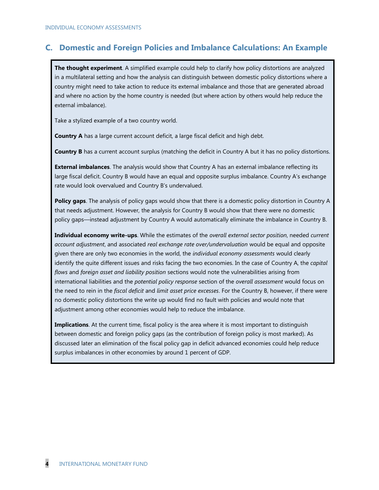### **C. Domestic and Foreign Policies and Imbalance Calculations: An Example**

**The thought experiment**. A simplified example could help to clarify how policy distortions are analyzed in a multilateral setting and how the analysis can distinguish between domestic policy distortions where a country might need to take action to reduce its external imbalance and those that are generated abroad and where no action by the home country is needed (but where action by others would help reduce the external imbalance).

Take a stylized example of a two country world.

**Country A** has a large current account deficit, a large fiscal deficit and high debt.

**Country B** has a current account surplus (matching the deficit in Country A but it has no policy distortions.

**External imbalances**. The analysis would show that Country A has an external imbalance reflecting its large fiscal deficit. Country B would have an equal and opposite surplus imbalance. Country A's exchange rate would look overvalued and Country B's undervalued.

**Policy gaps**. The analysis of policy gaps would show that there is a domestic policy distortion in Country A that needs adjustment. However, the analysis for Country B would show that there were no domestic policy gaps—instead adjustment by Country A would automatically eliminate the imbalance in Country B.

**Individual economy write-ups**. While the estimates of the *overall external sector position*, needed *current account adjustment*, and associated *real exchange rate over/undervaluation* would be equal and opposite given there are only two economies in the world, the *individual economy assessments* would clearly identify the quite different issues and risks facing the two economies. In the case of Country A, the *capital flows* and *foreign asset and liability position* sections would note the vulnerabilities arising from international liabilities and the *potential policy response* section of the *overall assessment* would focus on the need to rein in the *fiscal deficit* and *limit asset price excesses*. For the Country B, however, if there were no domestic policy distortions the write up would find no fault with policies and would note that adjustment among other economies would help to reduce the imbalance.

**Implications**. At the current time, fiscal policy is the area where it is most important to distinguish between domestic and foreign policy gaps (as the contribution of foreign policy is most marked). As discussed later an elimination of the fiscal policy gap in deficit advanced economies could help reduce surplus imbalances in other economies by around 1 percent of GDP.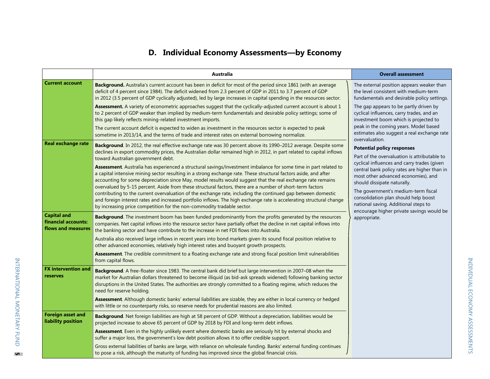# **D. Individual Economy Assessments—by Economy**

|                                                                 | Australia                                                                                                                                                                                                                                                                                                                                                                                                                                                                                                                                                                                                                                                                                                                                                                          | <b>Overall assessment</b>                                                                                                                                                                                                                                                                                                                             |
|-----------------------------------------------------------------|------------------------------------------------------------------------------------------------------------------------------------------------------------------------------------------------------------------------------------------------------------------------------------------------------------------------------------------------------------------------------------------------------------------------------------------------------------------------------------------------------------------------------------------------------------------------------------------------------------------------------------------------------------------------------------------------------------------------------------------------------------------------------------|-------------------------------------------------------------------------------------------------------------------------------------------------------------------------------------------------------------------------------------------------------------------------------------------------------------------------------------------------------|
| <b>Current account</b>                                          | Background. Australia's current account has been in deficit for most of the period since 1861 (with an average<br>deficit of 4 percent since 1984). The deficit widened from 2.3 percent of GDP in 2011 to 3.7 percent of GDP<br>in 2012 (3.5 percent of GDP cyclically adjusted), led by large increases in capital spending in the resources sector.                                                                                                                                                                                                                                                                                                                                                                                                                             | The external position appears weaker than<br>the level consistent with medium-term<br>fundamentals and desirable policy settings.                                                                                                                                                                                                                     |
|                                                                 | Assessment. A variety of econometric approaches suggest that the cyclically-adjusted current account is about 1<br>to 2 percent of GDP weaker than implied by medium-term fundamentals and desirable policy settings; some of<br>this gap likely reflects mining-related investment imports.<br>The current account deficit is expected to widen as investment in the resources sector is expected to peak                                                                                                                                                                                                                                                                                                                                                                         | The gap appears to be partly driven by<br>cyclical influences, carry trades, and an<br>investment boom which is projected to<br>peak in the coming years. Model based                                                                                                                                                                                 |
|                                                                 | sometime in 2013/14, and the terms of trade and interest rates on external borrowing normalize.                                                                                                                                                                                                                                                                                                                                                                                                                                                                                                                                                                                                                                                                                    | estimates also suggest a real exchange rate<br>overvaluation.                                                                                                                                                                                                                                                                                         |
| <b>Real exchange rate</b>                                       | Background. In 2012, the real effective exchange rate was 30 percent above its 1990-2012 average. Despite some<br>declines in export commodity prices, the Australian dollar remained high in 2012, in part related to capital inflows<br>toward Australian government debt.                                                                                                                                                                                                                                                                                                                                                                                                                                                                                                       | <b>Potential policy responses</b><br>Part of the overvaluation is attributable to                                                                                                                                                                                                                                                                     |
|                                                                 | Assessment. Australia has experienced a structural savings/investment imbalance for some time in part related to<br>a capital intensive mining sector resulting in a strong exchange rate. These structural factors aside, and after<br>accounting for some depreciation since May, model results would suggest that the real exchange rate remains<br>overvalued by 5-15 percent. Aside from these structural factors, there are a number of short-term factors<br>contributing to the current overvaluation of the exchange rate, including the continued gap between domestic<br>and foreign interest rates and increased portfolio inflows. The high exchange rate is accelerating structural change<br>by increasing price competition for the non-commodity tradable sector. | cyclical influences and carry trades (given<br>central bank policy rates are higher than in<br>most other advanced economies), and<br>should dissipate naturally.<br>The government's medium-term fiscal<br>consolidation plan should help boost<br>national saving. Additional steps to<br>encourage higher private savings would be<br>appropriate. |
| <b>Capital and</b><br>financial accounts:<br>flows and measures | Background. The investment boom has been funded predominantly from the profits generated by the resources<br>companies. Net capital inflows into the resource sector have partially offset the decline in net capital inflows into<br>the banking sector and have contribute to the increase in net FDI flows into Australia.                                                                                                                                                                                                                                                                                                                                                                                                                                                      |                                                                                                                                                                                                                                                                                                                                                       |
|                                                                 | Australia also received large inflows in recent years into bond markets given its sound fiscal position relative to<br>other advanced economies, relatively high interest rates and buoyant growth prospects.                                                                                                                                                                                                                                                                                                                                                                                                                                                                                                                                                                      |                                                                                                                                                                                                                                                                                                                                                       |
|                                                                 | Assessment. The credible commitment to a floating exchange rate and strong fiscal position limit vulnerabilities<br>from capital flows.                                                                                                                                                                                                                                                                                                                                                                                                                                                                                                                                                                                                                                            |                                                                                                                                                                                                                                                                                                                                                       |
| <b>FX intervention and</b><br>reserves                          | Background. A free-floater since 1983. The central bank did brief but large intervention in 2007-08 when the<br>market for Australian dollars threatened to become illiquid (as bid-ask spreads widened) following banking sector<br>disruptions in the United States. The authorities are strongly committed to a floating regime, which reduces the<br>need for reserve holding.                                                                                                                                                                                                                                                                                                                                                                                                 |                                                                                                                                                                                                                                                                                                                                                       |
|                                                                 | Assessment. Although domestic banks' external liabilities are sizable, they are either in local currency or hedged<br>with little or no counterparty risks, so reserve needs for prudential reasons are also limited.                                                                                                                                                                                                                                                                                                                                                                                                                                                                                                                                                              |                                                                                                                                                                                                                                                                                                                                                       |
| <b>Foreign asset and</b><br>liability position                  | Background. Net foreign liabilities are high at 58 percent of GDP. Without a depreciation, liabilities would be<br>projected increase to above 65 percent of GDP by 2018 by FDI and long-term debt inflows.                                                                                                                                                                                                                                                                                                                                                                                                                                                                                                                                                                        |                                                                                                                                                                                                                                                                                                                                                       |
|                                                                 | Assessment. Even in the highly unlikely event where domestic banks are seriously hit by external shocks and<br>suffer a major loss, the government's low debt position allows it to offer credible support.                                                                                                                                                                                                                                                                                                                                                                                                                                                                                                                                                                        |                                                                                                                                                                                                                                                                                                                                                       |
|                                                                 | Gross external liabilities of banks are large, with reliance on wholesale funding. Banks' external funding continues<br>to pose a risk, although the maturity of funding has improved since the global financial crisis.                                                                                                                                                                                                                                                                                                                                                                                                                                                                                                                                                           |                                                                                                                                                                                                                                                                                                                                                       |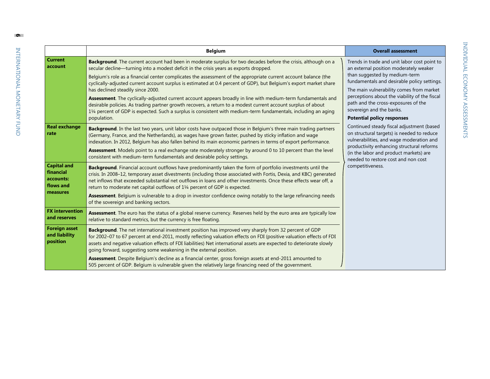|                                                                       | <b>Belgium</b>                                                                                                                                                                                                                                                                                                                                                                                                                                                                                                                                                                                                                                                                                                                                                                                                                                           | <b>Overall assessment</b>                                                                                                                                                                                                                                                                                                                                                                                                                                                                                                                                                                                                                                            |
|-----------------------------------------------------------------------|----------------------------------------------------------------------------------------------------------------------------------------------------------------------------------------------------------------------------------------------------------------------------------------------------------------------------------------------------------------------------------------------------------------------------------------------------------------------------------------------------------------------------------------------------------------------------------------------------------------------------------------------------------------------------------------------------------------------------------------------------------------------------------------------------------------------------------------------------------|----------------------------------------------------------------------------------------------------------------------------------------------------------------------------------------------------------------------------------------------------------------------------------------------------------------------------------------------------------------------------------------------------------------------------------------------------------------------------------------------------------------------------------------------------------------------------------------------------------------------------------------------------------------------|
| <b>Current</b><br>account                                             | Background. The current account had been in moderate surplus for two decades before the crisis, although on a<br>secular decline—turning into a modest deficit in the crisis years as exports dropped.<br>Belgium's role as a financial center complicates the assessment of the appropriate current account balance (the<br>cyclically-adjusted current account surplus is estimated at 0.4 percent of GDP), but Belgium's export market share<br>has declined steadily since 2000.<br>Assessment. The cyclically-adjusted current account appears broadly in line with medium-term fundamentals and<br>desirable policies. As trading partner growth recovers, a return to a modest current account surplus of about<br>11/4 percent of GDP is expected. Such a surplus is consistent with medium-term fundamentals, including an aging<br>population. | Trends in trade and unit labor cost point to<br>an external position moderately weaker<br>than suggested by medium-term<br>fundamentals and desirable policy settings.<br>The main vulnerability comes from market<br>perceptions about the viability of the fiscal<br>path and the cross-exposures of the<br>sovereign and the banks.<br><b>Potential policy responses</b><br>Continued steady fiscal adjustment (based<br>on structural targets) is needed to reduce<br>vulnerabilities, and wage moderation and<br>productivity enhancing structural reforms<br>(in the labor and product markets) are<br>needed to restore cost and non cost<br>competitiveness. |
| <b>Real exchange</b><br>rate                                          | Background. In the last two years, unit labor costs have outpaced those in Belgium's three main trading partners<br>(Germany, France, and the Netherlands), as wages have grown faster, pushed by sticky inflation and wage<br>indexation. In 2012, Belgium has also fallen behind its main economic partners in terms of export performance.<br>Assessment. Models point to a real exchange rate moderately stronger by around 0 to 10 percent than the level<br>consistent with medium-term fundamentals and desirable policy settings.                                                                                                                                                                                                                                                                                                                |                                                                                                                                                                                                                                                                                                                                                                                                                                                                                                                                                                                                                                                                      |
| <b>Capital and</b><br>financial<br>accounts:<br>flows and<br>measures | Background. Financial account outflows have predominantly taken the form of portfolio investments until the<br>crisis. In 2008-12, temporary asset divestments (including those associated with Fortis, Dexia, and KBC) generated<br>net inflows that exceeded substantial net outflows in loans and other investments. Once these effects wear off, a<br>return to moderate net capital outflows of 11/4 percent of GDP is expected.<br>Assessment. Belgium is vulnerable to a drop in investor confidence owing notably to the large refinancing needs<br>of the sovereign and banking sectors.                                                                                                                                                                                                                                                        |                                                                                                                                                                                                                                                                                                                                                                                                                                                                                                                                                                                                                                                                      |
| <b>FX</b> intervention<br>and reserves                                | <b>Assessment</b> . The euro has the status of a global reserve currency. Reserves held by the euro area are typically low<br>relative to standard metrics, but the currency is free floating.                                                                                                                                                                                                                                                                                                                                                                                                                                                                                                                                                                                                                                                           |                                                                                                                                                                                                                                                                                                                                                                                                                                                                                                                                                                                                                                                                      |
| <b>Foreign asset</b><br>and liability<br>position                     | Background. The net international investment position has improved very sharply from 32 percent of GDP<br>for 2002-07 to 67 percent at end-2011, mostly reflecting valuation effects on FDI (positive valuation effects of FDI<br>assets and negative valuation effects of FDI liabilities) Net international assets are expected to deteriorate slowly<br>going forward, suggesting some weakening in the external position.<br>Assessment. Despite Belgium's decline as a financial center, gross foreign assets at end-2011 amounted to                                                                                                                                                                                                                                                                                                               |                                                                                                                                                                                                                                                                                                                                                                                                                                                                                                                                                                                                                                                                      |
|                                                                       | 505 percent of GDP. Belgium is vulnerable given the relatively large financing need of the government.                                                                                                                                                                                                                                                                                                                                                                                                                                                                                                                                                                                                                                                                                                                                                   |                                                                                                                                                                                                                                                                                                                                                                                                                                                                                                                                                                                                                                                                      |

**6**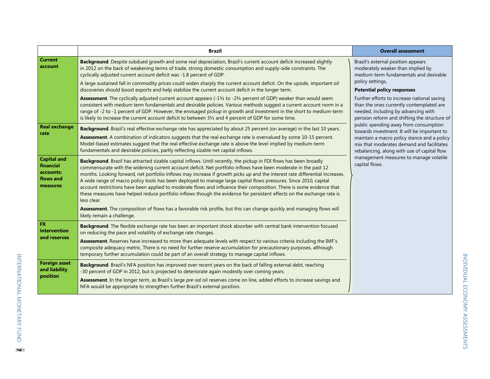|                                                                       | <b>Brazil</b>                                                                                                                                                                                                                                                                                                                                                                                                                                                                                                                                                                                                                                                                                                                                                                                                                                                                                                        | <b>Overall assessment</b>                                                                                                                                                                                                                                                                                    |
|-----------------------------------------------------------------------|----------------------------------------------------------------------------------------------------------------------------------------------------------------------------------------------------------------------------------------------------------------------------------------------------------------------------------------------------------------------------------------------------------------------------------------------------------------------------------------------------------------------------------------------------------------------------------------------------------------------------------------------------------------------------------------------------------------------------------------------------------------------------------------------------------------------------------------------------------------------------------------------------------------------|--------------------------------------------------------------------------------------------------------------------------------------------------------------------------------------------------------------------------------------------------------------------------------------------------------------|
| <b>Current</b><br>account                                             | Background. Despite subdued growth and some real depreciation, Brazil's current account deficit increased slightly<br>in 2012 on the back of weakening terms of trade, strong domestic consumption and supply-side constraints. The<br>cyclically adjusted current account deficit was -1.8 percent of GDP.<br>A large sustained fall in commodity prices could widen sharply the current account deficit. On the upside, important oil<br>discoveries should boost exports and help stabilize the current account deficit in the longer term.<br>Assessment. The cyclically adjusted current account appears (-13/4 to -23/4 percent of GDP) weaker than would seem<br>consistent with medium term fundamentals and desirable policies. Various methods suggest a current account norm in a<br>range of -2 to -1 percent of GDP. However, the envisaged pickup in growth and investment in the short to medium-term | Brazil's external position appears<br>moderately weaker than implied by<br>medium-term fundamentals and desirable<br>policy settings,<br><b>Potential policy responses</b><br>Further efforts to increase national saving<br>than the ones currently contemplated are<br>needed, including by advancing with |
|                                                                       | is likely to increase the current account deficit to between 31/2 and 4 percent of GDP for some time.                                                                                                                                                                                                                                                                                                                                                                                                                                                                                                                                                                                                                                                                                                                                                                                                                | pension reform and shifting the structure of                                                                                                                                                                                                                                                                 |
| <b>Real exchange</b><br>rate                                          | Background. Brazil's real effective exchange rate has appreciated by about 25 percent (on average) in the last 10 years.<br>Assessment. A combination of indicators suggests that the real exchange rate is overvalued by some 10-15 percent.<br>Model-based estimates suggest that the real effective exchange rate is above the level implied by medium-term<br>fundamentals and desirable policies, partly reflecting sizable net capital inflows.                                                                                                                                                                                                                                                                                                                                                                                                                                                                | public spending away from consumption<br>towards investment. It will be important to<br>maintain a macro policy stance and a policy<br>mix that moderates demand and facilitates<br>rebalancing, along with use of capital flow<br>management measures to manage volatile<br>capital flows.                  |
| <b>Capital and</b><br>financial<br>accounts:<br>flows and<br>measures | Background. Brazil has attracted sizable capital inflows. Until recently, the pickup in FDI flows has been broadly<br>commensurate with the widening current account deficit. Net portfolio inflows have been moderate in the past 12<br>months. Looking forward, net portfolio inflows may increase if growth picks up and the interest rate differential increases.<br>A wide range of macro policy tools has been deployed to manage large capital flows pressures. Since 2010, capital<br>account restrictions have been applied to moderate flows and influence their composition. There is some evidence that<br>these measures have helped reduce portfolio inflows though the evidence for persistent effects on the exchange rate is<br>less clear.<br>Assessment. The composition of flows has a favorable risk profile, but this can change quickly and managing flows will                               |                                                                                                                                                                                                                                                                                                              |
| FX                                                                    | likely remain a challenge.<br>Background. The flexible exchange rate has been an important shock absorber with central bank intervention focused                                                                                                                                                                                                                                                                                                                                                                                                                                                                                                                                                                                                                                                                                                                                                                     |                                                                                                                                                                                                                                                                                                              |
| intervention<br>and reserves                                          | on reducing the pace and volatility of exchange rate changes.<br>Assessment. Reserves have increased to more than adequate levels with respect to various criteria including the IMF's<br>composite adequacy metric. There is no need for further reserve accumulation for precautionary purposes, although<br>temporary further accumulation could be part of an overall strategy to manage capital inflows.                                                                                                                                                                                                                                                                                                                                                                                                                                                                                                        |                                                                                                                                                                                                                                                                                                              |
| <b>Foreign asset</b><br>and liability<br>position                     | Background. Brazil's NFA position has improved over recent years on the back of falling external debt, reaching<br>-30 percent of GDP in 2012, but is projected to deteriorate again modestly over coming years.<br>Assessment. In the longer term, as Brazil's large pre-sal oil reserves come on line, added efforts to increase savings and                                                                                                                                                                                                                                                                                                                                                                                                                                                                                                                                                                       |                                                                                                                                                                                                                                                                                                              |
|                                                                       | NFA would be appropriate to strengthen further Brazil's external position.                                                                                                                                                                                                                                                                                                                                                                                                                                                                                                                                                                                                                                                                                                                                                                                                                                           |                                                                                                                                                                                                                                                                                                              |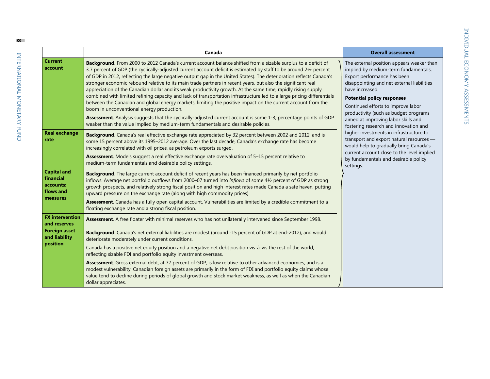|                                                                       | Canada                                                                                                                                                                                                                                                                                                                                                                                                                                                                                                                                                                                                                                                                                                                                                                                                                                                                                                                                                                                                                                                                                       | <b>Overall assessment</b>                                                                                                                                                                                                                                                                                                                                                                                                                                                                                                                                                                                                 |
|-----------------------------------------------------------------------|----------------------------------------------------------------------------------------------------------------------------------------------------------------------------------------------------------------------------------------------------------------------------------------------------------------------------------------------------------------------------------------------------------------------------------------------------------------------------------------------------------------------------------------------------------------------------------------------------------------------------------------------------------------------------------------------------------------------------------------------------------------------------------------------------------------------------------------------------------------------------------------------------------------------------------------------------------------------------------------------------------------------------------------------------------------------------------------------|---------------------------------------------------------------------------------------------------------------------------------------------------------------------------------------------------------------------------------------------------------------------------------------------------------------------------------------------------------------------------------------------------------------------------------------------------------------------------------------------------------------------------------------------------------------------------------------------------------------------------|
| <b>Current</b><br>account                                             | Background. From 2000 to 2012 Canada's current account balance shifted from a sizable surplus to a deficit of<br>3.7 percent of GDP (the cyclically-adjusted current account deficit is estimated by staff to be around 21/2 percent<br>of GDP in 2012, reflecting the large negative output gap in the United States). The deterioration reflects Canada's<br>stronger economic rebound relative to its main trade partners in recent years, but also the significant real<br>appreciation of the Canadian dollar and its weak productivity growth. At the same time, rapidly rising supply<br>combined with limited refining capacity and lack of transportation infrastructure led to a large pricing differentials<br>between the Canadian and global energy markets, limiting the positive impact on the current account from the<br>boom in unconventional energy production.<br>Assessment. Analysis suggests that the cyclically-adjusted current account is some 1-3, percentage points of GDP<br>weaker than the value implied by medium-term fundamentals and desirable policies. | The external position appears weaker than<br>implied by medium-term fundamentals.<br>Export performance has been<br>disappointing and net external liabilities<br>have increased.<br><b>Potential policy responses</b><br>Continued efforts to improve labor<br>productivity (such as budget programs<br>aimed at improving labor skills and<br>fostering research and innovation and<br>higher investments in infrastructure to<br>transport and export natural resources -<br>would help to gradually bring Canada's<br>current account close to the level implied<br>by fundamentals and desirable policy<br>settings. |
| <b>Real exchange</b><br>rate                                          | Background. Canada's real effective exchange rate appreciated by 32 percent between 2002 and 2012, and is<br>some 15 percent above its 1995-2012 average. Over the last decade, Canada's exchange rate has become<br>increasingly correlated with oil prices, as petroleum exports surged.<br><b>Assessment</b> . Models suggest a real effective exchange rate overvaluation of 5-15 percent relative to<br>medium-term fundamentals and desirable policy settings.                                                                                                                                                                                                                                                                                                                                                                                                                                                                                                                                                                                                                         |                                                                                                                                                                                                                                                                                                                                                                                                                                                                                                                                                                                                                           |
| <b>Capital and</b><br>financial<br>accounts:<br>flows and<br>measures | Background. The large current account deficit of recent years has been financed primarily by net portfolio<br>inflows. Average net portfolio outflows from 2000-07 turned into inflows of some 41/2 percent of GDP as strong<br>growth prospects, and relatively strong fiscal position and high interest rates made Canada a safe haven, putting<br>upward pressure on the exchange rate (along with high commodity prices).<br>Assessment. Canada has a fully open capital account. Vulnerabilities are limited by a credible commitment to a<br>floating exchange rate and a strong fiscal position.                                                                                                                                                                                                                                                                                                                                                                                                                                                                                      |                                                                                                                                                                                                                                                                                                                                                                                                                                                                                                                                                                                                                           |
| <b>FX</b> intervention<br>and reserves                                | Assessment. A free floater with minimal reserves who has not unilaterally intervened since September 1998.                                                                                                                                                                                                                                                                                                                                                                                                                                                                                                                                                                                                                                                                                                                                                                                                                                                                                                                                                                                   |                                                                                                                                                                                                                                                                                                                                                                                                                                                                                                                                                                                                                           |
| <b>Foreign asset</b><br>and liability<br>position                     | Background. Canada's net external liabilities are modest (around -15 percent of GDP at end-2012), and would<br>deteriorate moderately under current conditions.<br>Canada has a positive net equity position and a negative net debt position vis-à-vis the rest of the world,<br>reflecting sizable FDI and portfolio equity investment overseas.<br>Assessment. Gross external debt, at 77 percent of GDP, is low relative to other advanced economies, and is a<br>modest vulnerability. Canadian foreign assets are primarily in the form of FDI and portfolio equity claims whose<br>value tend to decline during periods of global growth and stock market weakness, as well as when the Canadian<br>dollar appreciates.                                                                                                                                                                                                                                                                                                                                                               |                                                                                                                                                                                                                                                                                                                                                                                                                                                                                                                                                                                                                           |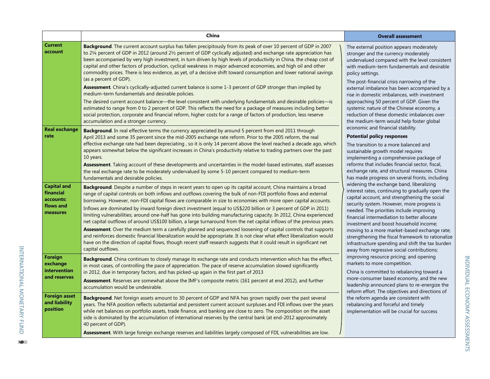|                                                                       | China                                                                                                                                                                                                                                                                                                                                                                                                                                                                                                                                                                                                                                                                                                                                                                                                                                                                                                                                                                                                                                                                                                                                                                   | <b>Overall assessment</b>                                                                                                                                                                                                                                                                                                                                                                                                                                                                                                                                                                                                                                                                                                                                                                                                                                                                                                                                                                                                                                                                                                                                                                                                                                                                                                                           |
|-----------------------------------------------------------------------|-------------------------------------------------------------------------------------------------------------------------------------------------------------------------------------------------------------------------------------------------------------------------------------------------------------------------------------------------------------------------------------------------------------------------------------------------------------------------------------------------------------------------------------------------------------------------------------------------------------------------------------------------------------------------------------------------------------------------------------------------------------------------------------------------------------------------------------------------------------------------------------------------------------------------------------------------------------------------------------------------------------------------------------------------------------------------------------------------------------------------------------------------------------------------|-----------------------------------------------------------------------------------------------------------------------------------------------------------------------------------------------------------------------------------------------------------------------------------------------------------------------------------------------------------------------------------------------------------------------------------------------------------------------------------------------------------------------------------------------------------------------------------------------------------------------------------------------------------------------------------------------------------------------------------------------------------------------------------------------------------------------------------------------------------------------------------------------------------------------------------------------------------------------------------------------------------------------------------------------------------------------------------------------------------------------------------------------------------------------------------------------------------------------------------------------------------------------------------------------------------------------------------------------------|
| <b>Current</b><br>account                                             | <b>Background.</b> The current account surplus has fallen precipitously from its peak of over 10 percent of GDP in 2007<br>to 21/4 percent of GDP in 2012 (around 21/2 percent of GDP cyclically adjusted) and exchange rate appreciation has<br>been accompanied by very high investment, in turn driven by high levels of productivity in China, the cheap cost of<br>capital and other factors of production, cyclical weakness in major advanced economies, and high oil and other<br>commodity prices. There is less evidence, as yet, of a decisive shift toward consumption and lower national savings<br>(as a percent of GDP).<br>Assessment. China's cyclically-adjusted current balance is some 1-3 percent of GDP stronger than implied by<br>medium-term fundamentals and desirable policies.<br>The desired current account balance—the level consistent with underlying fundamentals and desirable policies—is<br>estimated to range from 0 to 2 percent of GDP. This reflects the need for a package of measures including better<br>social protection, corporate and financial reform, higher costs for a range of factors of production, less reserve | The external position appears moderately<br>stronger and the currency moderately<br>undervalued compared with the level consistent<br>with medium-term fundamentals and desirable<br>policy settings.<br>The post-financial crisis narrowing of the<br>external imbalance has been accompanied by a<br>rise in domestic imbalances, with investment<br>approaching 50 percent of GDP. Given the<br>systemic nature of the Chinese economy, a<br>reduction of these domestic imbalances over                                                                                                                                                                                                                                                                                                                                                                                                                                                                                                                                                                                                                                                                                                                                                                                                                                                         |
| <b>Real exchange</b><br>rate                                          | accumulation and a stronger currency.<br><b>Background.</b> In real effective terms the currency appreciated by around 5 percent from end 2011 through<br>April 2013 and some 35 percent since the mid-2005 exchange rate reform. Prior to the 2005 reform, the real<br>effective exchange rate had been depreciating, so it is only 14 percent above the level reached a decade ago, which<br>appears somewhat below the significant increases in China's productivity relative to trading partners over the past<br>10 years.<br><b>Assessment</b> . Taking account of these developments and uncertainties in the model-based estimates, staff assesses<br>the real exchange rate to be moderately undervalued by some 5-10 percent compared to medium-term<br>fundamentals and desirable policies.                                                                                                                                                                                                                                                                                                                                                                  | the medium-term would help foster global<br>economic and financial stability.<br><b>Potential policy responses</b><br>The transition to a more balanced and<br>sustainable growth model requires<br>implementing a comprehensive package of<br>reforms that includes financial sector, fiscal,<br>exchange rate, and structural measures. China<br>has made progress on several fronts, including<br>widening the exchange band, liberalizing<br>interest rates, continuing to gradually open the<br>capital account, and strengthening the social<br>security system. However, more progress is<br>needed. The priorities include improving<br>financial intermediation to better allocate<br>investment and boost household income;<br>moving to a more market-based exchange rate;<br>strengthening the fiscal framework to rationalize<br>infrastructure spending and shift the tax burden<br>away from regressive social contributions;<br>improving resource pricing; and opening<br>markets to more competition.<br>China is committed to rebalancing toward a<br>more-consumer based economy, and the new<br>leadership announced plans to re-energize the<br>reform effort. The objectives and directions of<br>the reform agenda are consistent with<br>rebalancing and forceful and timely<br>implementation will be crucial for success |
| <b>Capital and</b><br>financial<br>accounts:<br>flows and<br>measures | <b>Background</b> . Despite a number of steps in recent years to open up its capital account, China maintains a broad<br>range of capital controls on both inflows and outflows covering the bulk of non-FDI portfolio flows and external<br>borrowing. However, non-FDI capital flows are comparable in size to economies with more open capital accounts.<br>Inflows are dominated by inward foreign direct investment (equal to US\$220 billion or 3 percent of GDP in 2011)<br>limiting vulnerabilities; around one-half has gone into building manufacturing capacity. In 2012, China experienced<br>net capital outflows of around US\$100 billion, a large turnaround from the net capital inflows of the previous years.<br>Assessment. Over the medium term a carefully planned and sequenced loosening of capital controls that supports<br>and reinforces domestic financial liberalization would be appropriate. It is not clear what effect liberalization would<br>have on the direction of capital flows, though recent staff research suggests that it could result in significant net<br>capital outflows.                                             |                                                                                                                                                                                                                                                                                                                                                                                                                                                                                                                                                                                                                                                                                                                                                                                                                                                                                                                                                                                                                                                                                                                                                                                                                                                                                                                                                     |
| Foreign<br>exchange<br>intervention<br>and reserves                   | Background. China continues to closely manage its exchange rate and conducts intervention which has the effect,<br>in most cases, of controlling the pace of appreciation. The pace of reserve accumulation slowed significantly<br>in 2012, due in temporary factors, and has picked-up again in the first part of 2013<br>Assessment. Reserves are somewhat above the IMF's composite metric (161 percent at end 2012), and further<br>accumulation would be undesirable.                                                                                                                                                                                                                                                                                                                                                                                                                                                                                                                                                                                                                                                                                             |                                                                                                                                                                                                                                                                                                                                                                                                                                                                                                                                                                                                                                                                                                                                                                                                                                                                                                                                                                                                                                                                                                                                                                                                                                                                                                                                                     |
| <b>Foreign asset</b><br>and liability<br>position                     | Background. Net foreign assets amount to 30 percent of GDP and NFA has grown rapidly over the past several<br>years. The NFA position reflects substantial and persistent current account surpluses and FDI inflows over the years<br>while net balances on portfolio assets, trade finance, and banking are close to zero. The composition on the asset<br>side is dominated by the accumulation of international reserves by the central bank (at end-2012 approximately<br>40 percent of GDP).<br>Assessment. With large foreign exchange reserves and liabilities largely composed of FDI, vulnerabilities are low.                                                                                                                                                                                                                                                                                                                                                                                                                                                                                                                                                 |                                                                                                                                                                                                                                                                                                                                                                                                                                                                                                                                                                                                                                                                                                                                                                                                                                                                                                                                                                                                                                                                                                                                                                                                                                                                                                                                                     |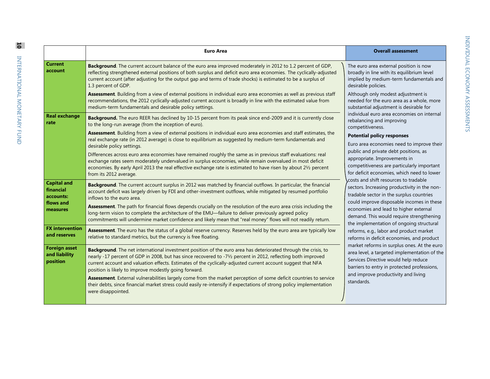|                                                   | <b>Euro Area</b>                                                                                                                                                                                                                                                                                                                                                                                                                                                                                                                                                                                                                                                            | <b>Overall assessment</b>                                                                                                                                                                                                                                                                                                                                                                                                                                                                                                                                                                                 |
|---------------------------------------------------|-----------------------------------------------------------------------------------------------------------------------------------------------------------------------------------------------------------------------------------------------------------------------------------------------------------------------------------------------------------------------------------------------------------------------------------------------------------------------------------------------------------------------------------------------------------------------------------------------------------------------------------------------------------------------------|-----------------------------------------------------------------------------------------------------------------------------------------------------------------------------------------------------------------------------------------------------------------------------------------------------------------------------------------------------------------------------------------------------------------------------------------------------------------------------------------------------------------------------------------------------------------------------------------------------------|
| <b>Current</b><br>account                         | Background. The current account balance of the euro area improved moderately in 2012 to 1.2 percent of GDP,<br>reflecting strengthened external positions of both surplus and deficit euro area economies. The cyclically-adjusted<br>current account (after adjusting for the output gap and terms of trade shocks) is estimated to be a surplus of<br>1.3 percent of GDP.<br>Assessment. Building from a view of external positions in individual euro area economies as well as previous staff<br>recommendations, the 2012 cyclically-adjusted current account is broadly in line with the estimated value from                                                         | The euro area external position is now<br>broadly in line with its equilibrium level<br>implied by medium-term fundamentals and<br>desirable policies.<br>Although only modest adjustment is<br>needed for the euro area as a whole, more                                                                                                                                                                                                                                                                                                                                                                 |
| <b>Real exchange</b><br>rate                      | medium-term fundamentals and desirable policy settings.<br>Background. The euro REER has declined by 10-15 percent from its peak since end-2009 and it is currently close<br>to the long-run average (from the inception of euro).                                                                                                                                                                                                                                                                                                                                                                                                                                          | substantial adjustment is desirable for<br>individual euro area economies on internal<br>rebalancing and improving<br>competitiveness.                                                                                                                                                                                                                                                                                                                                                                                                                                                                    |
|                                                   | Assessment. Building from a view of external positions in individual euro area economies and staff estimates, the<br>real exchange rate (in 2012 average) is close to equilibrium as suggested by medium-term fundamentals and<br>desirable policy settings.<br>Differences across euro area economies have remained roughly the same as in previous staff evaluations: real<br>exchange rates seem moderately undervalued in surplus economies, while remain overvalued in most deficit                                                                                                                                                                                    | <b>Potential policy responses</b><br>Euro area economies need to improve their<br>public and private debt positions, as<br>appropriate. Improvements in                                                                                                                                                                                                                                                                                                                                                                                                                                                   |
| <b>Capital and</b>                                | economies. By early April 2013 the real effective exchange rate is estimated to have risen by about 21/2 percent<br>from its 2012 average.<br>Background. The current account surplus in 2012 was matched by financial outflows. In particular, the financial                                                                                                                                                                                                                                                                                                                                                                                                               | competitiveness are particularly important<br>for deficit economies, which need to lower<br>costs and shift resources to tradable                                                                                                                                                                                                                                                                                                                                                                                                                                                                         |
| financial<br>accounts:<br>flows and<br>measures   | account deficit was largely driven by FDI and other-investment outflows, while mitigated by resumed portfolio<br>inflows to the euro area.<br>Assessment. The path for financial flows depends crucially on the resolution of the euro area crisis including the<br>long-term vision to complete the architecture of the EMU-failure to deliver previously agreed policy<br>commitments will undermine market confidence and likely mean that "real money" flows will not readily return.                                                                                                                                                                                   | sectors. Increasing productivity in the non-<br>tradable sector in the surplus countries<br>could improve disposable incomes in these<br>economies and lead to higher external<br>demand. This would require strengthening<br>the implementation of ongoing structural<br>reforms, e.g., labor and product market<br>reforms in deficit economies, and product<br>market reforms in surplus ones. At the euro<br>area level, a targeted implementation of the<br>Services Directive would help reduce<br>barriers to entry in protected professions,<br>and improve productivity and living<br>standards. |
| <b>FX</b> intervention<br>and reserves            | Assessment. The euro has the status of a global reserve currency. Reserves held by the euro area are typically low<br>relative to standard metrics, but the currency is free floating.                                                                                                                                                                                                                                                                                                                                                                                                                                                                                      |                                                                                                                                                                                                                                                                                                                                                                                                                                                                                                                                                                                                           |
| <b>Foreign asset</b><br>and liability<br>position | Background. The net international investment position of the euro area has deteriorated through the crisis, to<br>nearly -17 percent of GDP in 2008, but has since recovered to -71/2 percent in 2012, reflecting both improved<br>current account and valuation effects. Estimates of the cyclically-adjusted current account suggest that NFA<br>position is likely to improve modestly going forward.<br>Assessment. External vulnerabilities largely come from the market perception of some deficit countries to service<br>their debts, since financial market stress could easily re-intensify if expectations of strong policy implementation<br>were disappointed. |                                                                                                                                                                                                                                                                                                                                                                                                                                                                                                                                                                                                           |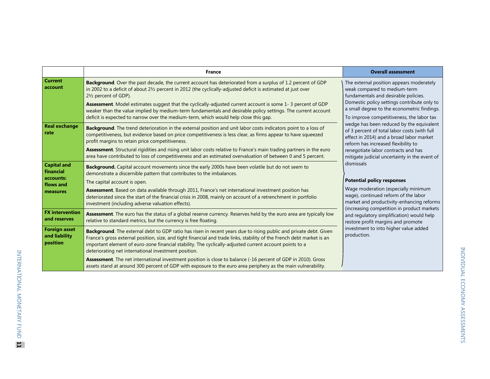|                                                                       | <b>France</b>                                                                                                                                                                                                                                                                                                                                                                                                                                                                                                                                                                | <b>Overall assessment</b>                                                                                                                                                                                                                                                                                                                                                                                                                                                                                                                                                                                                                                                                                                                                                                                                                                                                                  |
|-----------------------------------------------------------------------|------------------------------------------------------------------------------------------------------------------------------------------------------------------------------------------------------------------------------------------------------------------------------------------------------------------------------------------------------------------------------------------------------------------------------------------------------------------------------------------------------------------------------------------------------------------------------|------------------------------------------------------------------------------------------------------------------------------------------------------------------------------------------------------------------------------------------------------------------------------------------------------------------------------------------------------------------------------------------------------------------------------------------------------------------------------------------------------------------------------------------------------------------------------------------------------------------------------------------------------------------------------------------------------------------------------------------------------------------------------------------------------------------------------------------------------------------------------------------------------------|
| <b>Current</b><br>account                                             | Background. Over the past decade, the current account has deteriorated from a surplus of 1.2 percent of GDP<br>in 2002 to a deficit of about 21/2 percent in 2012 (the cyclically-adjusted deficit is estimated at just over<br>21/2 percent of GDP).<br>Assessment. Model estimates suggest that the cyclically-adjusted current account is some 1-3 percent of GDP<br>weaker than the value implied by medium-term fundamentals and desirable policy settings. The current account<br>deficit is expected to narrow over the medium-term, which would help close this gap. | The external position appears moderately<br>weak compared to medium-term<br>fundamentals and desirable policies.<br>Domestic policy settings contribute only to<br>a small degree to the econometric findings.<br>To improve competitiveness, the labor tax<br>wedge has been reduced by the equivalent<br>of 3 percent of total labor costs (with full<br>effect in 2014) and a broad labor market<br>reform has increased flexibility to<br>renegotiate labor contracts and has<br>mitigate judicial uncertainty in the event of<br>dismissals<br><b>Potential policy responses</b><br>Wage moderation (especially minimum<br>wage), continued reform of the labor<br>market and productivity-enhancing reforms<br>(increasing competition in product markets<br>and regulatory simplification) would help<br>restore profit margins and promote<br>investment to into higher value added<br>production. |
| <b>Real exchange</b><br>rate                                          | Background. The trend deterioration in the external position and unit labor costs indicators point to a loss of<br>competitiveness, but evidence based on price competitiveness is less clear, as firms appear to have squeezed<br>profit margins to retain price competitiveness.<br>Assessment. Structural rigidities and rising unit labor costs relative to France's main trading partners in the euro<br>area have contributed to loss of competitiveness and an estimated overvaluation of between 0 and 5 percent.                                                    |                                                                                                                                                                                                                                                                                                                                                                                                                                                                                                                                                                                                                                                                                                                                                                                                                                                                                                            |
| <b>Capital and</b><br>financial<br>accounts:<br>flows and<br>measures | Background. Capital account movements since the early 2000s have been volatile but do not seem to<br>demonstrate a discernible pattern that contributes to the imbalances.<br>The capital account is open.<br>Assessment. Based on data available through 2011, France's net international investment position has<br>deteriorated since the start of the financial crisis in 2008, mainly on account of a retrenchment in portfolio<br>investment (including adverse valuation effects).                                                                                    |                                                                                                                                                                                                                                                                                                                                                                                                                                                                                                                                                                                                                                                                                                                                                                                                                                                                                                            |
| <b>FX</b> intervention<br>and reserves                                | Assessment. The euro has the status of a global reserve currency. Reserves held by the euro area are typically low<br>relative to standard metrics, but the currency is free floating.                                                                                                                                                                                                                                                                                                                                                                                       |                                                                                                                                                                                                                                                                                                                                                                                                                                                                                                                                                                                                                                                                                                                                                                                                                                                                                                            |
| <b>Foreign asset</b><br>and liability<br>position                     | Background. The external debt to GDP ratio has risen in recent years due to rising public and private debt. Given<br>France's gross external position, size, and tight financial and trade links, stability of the French debt market is an<br>important element of euro-zone financial stability. The cyclically-adjusted current account points to a<br>deteriorating net international investment position.                                                                                                                                                               |                                                                                                                                                                                                                                                                                                                                                                                                                                                                                                                                                                                                                                                                                                                                                                                                                                                                                                            |
|                                                                       | Assessment. The net international investment position is close to balance (-16 percent of GDP in 2010). Gross<br>assets stand at around 300 percent of GDP with exposure to the euro area periphery as the main vulnerability.                                                                                                                                                                                                                                                                                                                                               |                                                                                                                                                                                                                                                                                                                                                                                                                                                                                                                                                                                                                                                                                                                                                                                                                                                                                                            |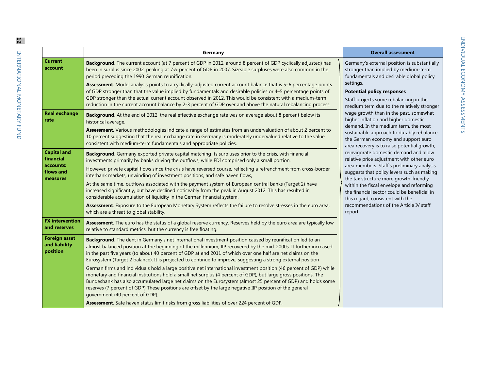| ï      |  |
|--------|--|
|        |  |
| Ï<br>۱ |  |
|        |  |
|        |  |
|        |  |
|        |  |
|        |  |
|        |  |
| i      |  |
|        |  |
|        |  |
| .<br>ו |  |
|        |  |
|        |  |
|        |  |
|        |  |
|        |  |
|        |  |
|        |  |
|        |  |
|        |  |
|        |  |
|        |  |
|        |  |
| Í      |  |
|        |  |
|        |  |
|        |  |
|        |  |
|        |  |
|        |  |
|        |  |
|        |  |
|        |  |
|        |  |
|        |  |
|        |  |
|        |  |
|        |  |

|                                                                       | Germany                                                                                                                                                                                                                                                                                                                                                                                                                                                                                                                                                                                                                                                                                                                                                                                                                                                                      | <b>Overall assessment</b>                                                                                                                                                                                                                                                                                                                                                                                                                                                                                                                                                                                                                                                                                                                                                                                             |
|-----------------------------------------------------------------------|------------------------------------------------------------------------------------------------------------------------------------------------------------------------------------------------------------------------------------------------------------------------------------------------------------------------------------------------------------------------------------------------------------------------------------------------------------------------------------------------------------------------------------------------------------------------------------------------------------------------------------------------------------------------------------------------------------------------------------------------------------------------------------------------------------------------------------------------------------------------------|-----------------------------------------------------------------------------------------------------------------------------------------------------------------------------------------------------------------------------------------------------------------------------------------------------------------------------------------------------------------------------------------------------------------------------------------------------------------------------------------------------------------------------------------------------------------------------------------------------------------------------------------------------------------------------------------------------------------------------------------------------------------------------------------------------------------------|
| <b>Current</b><br>account                                             | Background. The current account (at 7 percent of GDP in 2012, around 8 percent of GDP cyclically adjusted) has<br>been in surplus since 2002, peaking at 71/2 percent of GDP in 2007. Sizeable surpluses were also common in the<br>period preceding the 1990 German reunification.                                                                                                                                                                                                                                                                                                                                                                                                                                                                                                                                                                                          | Germany's external position is substantially<br>stronger than implied by medium-term<br>fundamentals and desirable global policy                                                                                                                                                                                                                                                                                                                                                                                                                                                                                                                                                                                                                                                                                      |
|                                                                       | Assessment. Model analysis points to a cyclically-adjusted current account balance that is 5-6 percentage points<br>of GDP stronger than that the value implied by fundamentals and desirable policies or 4-5 percentage points of<br>GDP stronger than the actual current account observed in 2012. This would be consistent with a medium-term<br>reduction in the current account balance by 2-3 percent of GDP over and above the natural rebalancing process.                                                                                                                                                                                                                                                                                                                                                                                                           | settings.<br><b>Potential policy responses</b><br>Staff projects some rebalancing in the<br>medium term due to the relatively stronger<br>wage growth than in the past, somewhat<br>higher inflation and higher domestic<br>demand. In the medium term, the most<br>sustainable approach to durably rebalance<br>the German economy and support euro<br>area recovery is to raise potential growth,<br>reinvigorate domestic demand and allow<br>relative price adjustment with other euro<br>area members. Staff's preliminary analysis<br>suggests that policy levers such as making<br>the tax structure more growth-friendly<br>within the fiscal envelope and reforming<br>the financial sector could be beneficial in<br>this regard, consistent with the<br>recommendations of the Article IV staff<br>report. |
| <b>Real exchange</b><br>rate                                          | Background. At the end of 2012, the real effective exchange rate was on average about 8 percent below its<br>historical average.<br>Assessment. Various methodologies indicate a range of estimates from an undervaluation of about 2 percent to<br>10 percent suggesting that the real exchange rate in Germany is moderately undervalued relative to the value<br>consistent with medium-term fundamentals and appropriate policies.                                                                                                                                                                                                                                                                                                                                                                                                                                       |                                                                                                                                                                                                                                                                                                                                                                                                                                                                                                                                                                                                                                                                                                                                                                                                                       |
| <b>Capital and</b><br>financial<br>accounts:<br>flows and<br>measures | Background. Germany exported private capital matching its surpluses prior to the crisis, with financial<br>investments primarily by banks driving the outflows, while FDI comprised only a small portion.<br>However, private capital flows since the crisis have reversed course, reflecting a retrenchment from cross-border<br>interbank markets, unwinding of investment positions, and safe haven flows,<br>At the same time, outflows associated with the payment system of European central banks (Target 2) have<br>increased significantly, but have declined noticeably from the peak in August 2012. This has resulted in<br>considerable accumulation of liquidity in the German financial system.<br>Assessment. Exposure to the European Monetary System reflects the failure to resolve stresses in the euro area,<br>which are a threat to global stability. |                                                                                                                                                                                                                                                                                                                                                                                                                                                                                                                                                                                                                                                                                                                                                                                                                       |
| <b>FX</b> intervention<br>and reserves                                | Assessment. The euro has the status of a global reserve currency. Reserves held by the euro area are typically low<br>relative to standard metrics, but the currency is free floating.                                                                                                                                                                                                                                                                                                                                                                                                                                                                                                                                                                                                                                                                                       |                                                                                                                                                                                                                                                                                                                                                                                                                                                                                                                                                                                                                                                                                                                                                                                                                       |
| <b>Foreign asset</b><br>and liability<br>position                     | Background. The dent in Germany's net international investment position caused by reunification led to an<br>almost balanced position at the beginning of the millennium, IIP recovered by the mid-2000s. It further increased<br>in the past five years (to about 40 percent of GDP at end 2011 of which over one half are net claims on the<br>Eurosystem (Target 2 balance). It is projected to continue to improve, suggesting a strong external position<br>German firms and individuals hold a large positive net international investment position (46 percent of GDP) while                                                                                                                                                                                                                                                                                          |                                                                                                                                                                                                                                                                                                                                                                                                                                                                                                                                                                                                                                                                                                                                                                                                                       |
|                                                                       | monetary and financial institutions hold a small net surplus (4 percent of GDP), but large gross positions. The<br>Bundesbank has also accumulated large net claims on the Eurosystem (almost 25 percent of GDP) and holds some<br>reserves (7 percent of GDP) These positions are offset by the large negative IIP position of the general<br>government (40 percent of GDP).                                                                                                                                                                                                                                                                                                                                                                                                                                                                                               |                                                                                                                                                                                                                                                                                                                                                                                                                                                                                                                                                                                                                                                                                                                                                                                                                       |

**Assessment**. Safe haven status limit risks from gross liabilities of over 224 percent of GDP.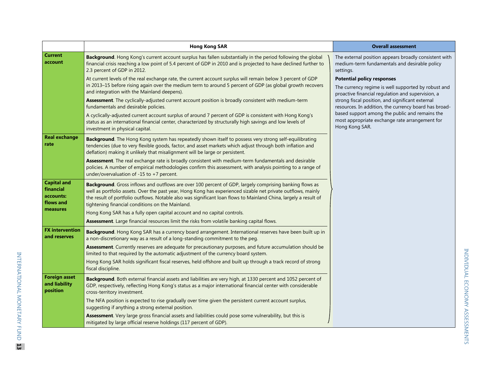|                                                                       | <b>Hong Kong SAR</b>                                                                                                                                                                                                                                                                                                                                                                            | <b>Overall assessment</b>                                                                                                                     |
|-----------------------------------------------------------------------|-------------------------------------------------------------------------------------------------------------------------------------------------------------------------------------------------------------------------------------------------------------------------------------------------------------------------------------------------------------------------------------------------|-----------------------------------------------------------------------------------------------------------------------------------------------|
| <b>Current</b><br>account                                             | Background. Hong Kong's current account surplus has fallen substantially in the period following the global<br>financial crisis reaching a low point of 5.4 percent of GDP in 2010 and is projected to have declined further to<br>2.3 percent of GDP in 2012.                                                                                                                                  | The external position appears broadly consistent with<br>medium-term fundamentals and desirable policy<br>settings.                           |
|                                                                       | At current levels of the real exchange rate, the current account surplus will remain below 3 percent of GDP<br>in 2013-15 before rising again over the medium term to around 5 percent of GDP (as global growth recovers<br>and integration with the Mainland deepens).                                                                                                                         | <b>Potential policy responses</b><br>The currency regime is well supported by robust and<br>proactive financial regulation and supervision, a |
|                                                                       | Assessment. The cyclically-adjusted current account position is broadly consistent with medium-term<br>fundamentals and desirable policies.                                                                                                                                                                                                                                                     | strong fiscal position, and significant external<br>resources. In addition, the currency board has broad-                                     |
|                                                                       | A cyclically-adjusted current account surplus of around 7 percent of GDP is consistent with Hong Kong's<br>status as an international financial center, characterized by structurally high savings and low levels of<br>investment in physical capital.                                                                                                                                         | based support among the public and remains the<br>most appropriate exchange rate arrangement for<br>Hong Kong SAR.                            |
| <b>Real exchange</b><br>rate                                          | Background. The Hong Kong system has repeatedly shown itself to possess very strong self-equilibrating<br>tendencies (due to very flexible goods, factor, and asset markets which adjust through both inflation and<br>deflation) making it unlikely that misalignment will be large or persistent.                                                                                             |                                                                                                                                               |
|                                                                       | Assessment. The real exchange rate is broadly consistent with medium-term fundamentals and desirable<br>policies. A number of empirical methodologies confirm this assessment, with analysis pointing to a range of<br>under/overvaluation of -15 to +7 percent.                                                                                                                                |                                                                                                                                               |
| <b>Capital and</b><br>financial<br>accounts:<br>flows and<br>measures | Background. Gross inflows and outflows are over 100 percent of GDP, largely comprising banking flows as<br>well as portfolio assets. Over the past year, Hong Kong has experienced sizable net private outflows, mainly<br>the result of portfolio outflows. Notable also was significant loan flows to Mainland China, largely a result of<br>tightening financial conditions on the Mainland. |                                                                                                                                               |
|                                                                       | Hong Kong SAR has a fully open capital account and no capital controls.                                                                                                                                                                                                                                                                                                                         |                                                                                                                                               |
| <b>FX</b> intervention                                                | Assessment. Large financial resources limit the risks from volatile banking capital flows.                                                                                                                                                                                                                                                                                                      |                                                                                                                                               |
| and reserves                                                          | Background. Hong Kong SAR has a currency board arrangement. International reserves have been built up in<br>a non-discretionary way as a result of a long-standing commitment to the peg.                                                                                                                                                                                                       |                                                                                                                                               |
|                                                                       | Assessment. Currently reserves are adequate for precautionary purposes, and future accumulation should be<br>limited to that required by the automatic adjustment of the currency board system.                                                                                                                                                                                                 |                                                                                                                                               |
|                                                                       | Hong Kong SAR holds significant fiscal reserves, held offshore and built up through a track record of strong<br>fiscal discipline.                                                                                                                                                                                                                                                              |                                                                                                                                               |
| <b>Foreign asset</b><br>and liability<br>position                     | Background. Both external financial assets and liabilities are very high, at 1330 percent and 1052 percent of<br>GDP, respectively, reflecting Hong Kong's status as a major international financial center with considerable<br>cross-territory investment.                                                                                                                                    |                                                                                                                                               |
|                                                                       | The NFA position is expected to rise gradually over time given the persistent current account surplus,<br>suggesting if anything a strong external position.                                                                                                                                                                                                                                    |                                                                                                                                               |
|                                                                       | Assessment. Very large gross financial assets and liabilities could pose some vulnerability, but this is<br>mitigated by large official reserve holdings (117 percent of GDP).                                                                                                                                                                                                                  |                                                                                                                                               |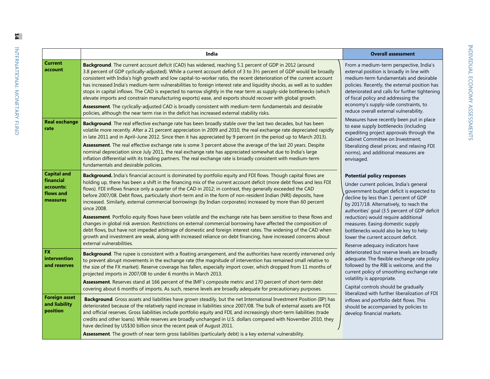| <b>Current</b>       |   |
|----------------------|---|
| account              |   |
|                      |   |
|                      |   |
|                      | j |
|                      |   |
|                      | ï |
|                      |   |
| <b>Real exchange</b> |   |
| rate                 | 1 |
|                      |   |
|                      |   |
|                      |   |

|                                                                       | India                                                                                                                                                                                                                                                                                                                                                                                                                                                                                                                                                                                                                                                                                                                                                                                                                                                                                                                                                                                                                                                                                                              | <b>Overall assessment</b>                                                                                                                                                                                                                                                                                                                                                                                                                                   |
|-----------------------------------------------------------------------|--------------------------------------------------------------------------------------------------------------------------------------------------------------------------------------------------------------------------------------------------------------------------------------------------------------------------------------------------------------------------------------------------------------------------------------------------------------------------------------------------------------------------------------------------------------------------------------------------------------------------------------------------------------------------------------------------------------------------------------------------------------------------------------------------------------------------------------------------------------------------------------------------------------------------------------------------------------------------------------------------------------------------------------------------------------------------------------------------------------------|-------------------------------------------------------------------------------------------------------------------------------------------------------------------------------------------------------------------------------------------------------------------------------------------------------------------------------------------------------------------------------------------------------------------------------------------------------------|
| <b>Current</b><br>account                                             | Background. The current account deficit (CAD) has widened, reaching 5.1 percent of GDP in 2012 (around<br>3.8 percent of GDP cyclically-adjusted). While a current account deficit of 3 to 31/2 percent of GDP would be broadly<br>consistent with India's high growth and low capital-to-worker ratio, the recent deterioration of the current account<br>has increased India's medium-term vulnerabilities to foreign interest rate and liquidity shocks, as well as to sudden<br>stops in capital inflows. The CAD is expected to narrow slightly in the near term as supply-side bottlenecks (which<br>elevate imports and constrain manufacturing exports) ease, and exports should recover with global growth.<br>Assessment. The cyclically-adjusted CAD is broadly consistent with medium-term fundamentals and desirable<br>policies, although the near term rise in the deficit has increased external stability risks.                                                                                                                                                                                  | From a medium-term perspective, India's<br>external position is broadly in line with<br>medium-term fundamentals and desirable<br>policies. Recently, the external position has<br>deteriorated and calls for further tightening<br>of fiscal policy and addressing the<br>economy's supply-side constraints, to<br>reduce overall external vulnerability.                                                                                                  |
| <b>Real exchange</b><br>rate                                          | Background. The real effective exchange rate has been broadly stable over the last two decades, but has been<br>volatile more recently. After a 21 percent appreciation in 2009 and 2010, the real exchange rate depreciated rapidly<br>in late 2011 and in April–June 2012. Since then it has appreciated by 9 percent (in the period up to March 2013).<br>Assessment. The real effective exchange rate is some 3 percent above the average of the last 20 years. Despite<br>nominal depreciation since July 2011, the real exchange rate has appreciated somewhat due to India's large<br>inflation differential with its trading partners. The real exchange rate is broadly consistent with medium-term<br>fundamentals and desirable policies.                                                                                                                                                                                                                                                                                                                                                               | Measures have recently been put in place<br>to ease supply bottlenecks (including<br>expediting project approvals through the<br>Cabinet Committee on Investment;<br>liberalizing diesel prices; and relaxing FDI<br>norms), and additional measures are<br>envisaged.                                                                                                                                                                                      |
| <b>Capital and</b><br>financial<br>accounts:<br>flows and<br>measures | Background. India's financial account is dominated by portfolio equity and FDI flows. Though capital flows are<br>holding up, there has been a shift in the financing mix of the current account deficit (more debt flows and less FDI<br>flows). FDI inflows finance only a quarter of the CAD in 2012; in contrast, they generally exceeded the CAD<br>before 2007/08. Debt flows, particularly short-term and in the form of non-resident Indian (NRI) deposits, have<br>increased. Similarly, external commercial borrowings (by Indian corporates) increased by more than 60 percent<br>since 2008.<br>Assessment. Portfolio equity flows have been volatile and the exchange rate has been sensitive to these flows and<br>changes in global risk aversion. Restrictions on external commercial borrowing have affected the composition of<br>debt flows, but have not impeded arbitrage of domestic and foreign interest rates. The widening of the CAD when<br>growth and investment are weak, along with increased reliance on debt financing, have increased concerns about<br>external vulnerabilities. | <b>Potential policy responses</b><br>Under current policies, India's general<br>government budget deficit is expected to<br>decline by less than 1 percent of GDP<br>by 2017/18. Alternatively, to reach the<br>authorities' goal (3.5 percent of GDP deficit<br>reduction) would require additional<br>measures. Easing domestic supply<br>bottlenecks would also be key to help<br>lower the current account deficit.<br>Reserve adequacy indicators have |
| <b>FX</b><br>intervention<br>and reserves                             | Background. The rupee is consistent with a floating arrangement, and the authorities have recently intervened only<br>to prevent abrupt movements in the exchange rate (the magnitude of intervention has remained small relative to<br>the size of the FX market). Reserve coverage has fallen, especially import cover, which dropped from 11 months of<br>projected imports in 2007/08 to under 6 months in March 2013.<br>Assessment. Reserves stand at 166 percent of the IMF's composite metric and 170 percent of short-term debt<br>covering about 6 months of imports. As such, reserve levels are broadly adequate for precautionary purposes.                                                                                                                                                                                                                                                                                                                                                                                                                                                           | deteriorated but reserve levels are broadly<br>adequate. The flexible exchange rate policy<br>followed by the RBI is welcome, and the<br>current policy of smoothing exchange rate<br>volatility is appropriate.<br>Capital controls should be gradually<br>liberalized with further liberalization of FDI                                                                                                                                                  |
| <b>Foreign asset</b><br>and liability<br>position                     | Background. Gross assets and liabilities have grown steadily, but the net International Investment Position (IIP) has<br>deteriorated because of the relatively rapid increase in liabilities since 2007/08. The bulk of external assets are FDI<br>and official reserves. Gross liabilities include portfolio equity and FDI, and increasingly short-term liabilities (trade<br>credits and other loans). While reserves are broadly unchanged in U.S. dollars compared with November 2010, they<br>have declined by US\$30 billion since the recent peak of August 2011.<br>Assessment. The growth of near term gross liabilities (particularly debt) is a key external vulnerability.                                                                                                                                                                                                                                                                                                                                                                                                                           | inflows and portfolio debt flows. This<br>should be accompanied by policies to<br>develop financial markets.                                                                                                                                                                                                                                                                                                                                                |

**14**

INTERNATIONAL MONETARY FUND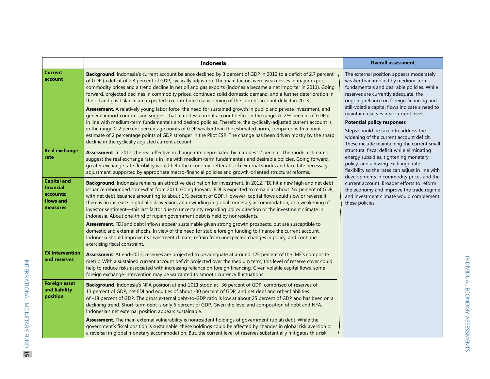|                                                                       | Indonesia                                                                                                                                                                                                                                                                                                                                                                                                                                                                                                                                                                                                                                                                                                                                                                                                                                                                                                                                                                                                                                                                                                                                                                                                                                 | <b>Overall assessment</b>                                                                                                                                                                                                                                                                                                                                                                                                                                                              |
|-----------------------------------------------------------------------|-------------------------------------------------------------------------------------------------------------------------------------------------------------------------------------------------------------------------------------------------------------------------------------------------------------------------------------------------------------------------------------------------------------------------------------------------------------------------------------------------------------------------------------------------------------------------------------------------------------------------------------------------------------------------------------------------------------------------------------------------------------------------------------------------------------------------------------------------------------------------------------------------------------------------------------------------------------------------------------------------------------------------------------------------------------------------------------------------------------------------------------------------------------------------------------------------------------------------------------------|----------------------------------------------------------------------------------------------------------------------------------------------------------------------------------------------------------------------------------------------------------------------------------------------------------------------------------------------------------------------------------------------------------------------------------------------------------------------------------------|
| <b>Current</b><br>account                                             | Background. Indonesia's current account balance declined by 3 percent of GDP in 2012 to a deficit of 2.7 percent<br>of GDP (a deficit of 2.3 percent of GDP, cyclically adjusted). The main factors were weaknesses in major export<br>commodity prices and a trend decline in net oil and gas exports (Indonesia became a net importer in 2011). Going<br>forward, projected declines in commodity prices, continued solid domestic demand, and a further deterioration in<br>the oil and gas balance are expected to contribute to a widening of the current account deficit in 2013.<br>Assessment. A relatively young labor force, the need for sustained growth in public and private investment, and<br>general import compression suggest that a modest current account deficit in the range 1/2-21/2 percent of GDP is<br>in line with medium-term fundamentals and desired policies. Therefore, the cyclically-adjusted current account is<br>in the range 0-2 percent percentage points of GDP weaker than the estimated norm, compared with a point<br>estimate of 2 percentage points of GDP stronger in the Pilot ESR. The change has been driven mostly by the sharp<br>decline in the cyclically adjusted current account. | The external position appears moderately<br>weaker than implied by medium-term<br>fundamentals and desirable policies. While<br>reserves are currently adequate, the<br>ongoing reliance on foreign financing and<br>still-volatile capital flows indicate a need to<br>maintain reserves near current levels.<br><b>Potential policy responses</b><br>Steps should be taken to address the<br>widening of the current account deficit.<br>These include maintaining the current small |
| <b>Real exchange</b><br>rate                                          | Assessment. In 2012, the real effective exchange rate depreciated by a modest 2 percent. The model estimates<br>suggest the real exchange rate is in line with medium-term fundamentals and desirable policies. Going forward,<br>greater exchange rate flexibility would help the economy better absorb external shocks and facilitate necessary<br>adjustment, supported by appropriate macro-financial policies and growth-oriented structural reforms.                                                                                                                                                                                                                                                                                                                                                                                                                                                                                                                                                                                                                                                                                                                                                                                | structural fiscal deficit while eliminating<br>energy subsidies, tightening monetary<br>policy, and allowing exchange rate<br>flexibility so the rates can adjust in line with<br>developments in commodity prices and the<br>current account. Broader efforts to reform<br>the economy and improve the trade regime<br>and investment climate would complement<br>these policies.                                                                                                     |
| <b>Capital and</b><br>financial<br>accounts:<br>flows and<br>measures | Background. Indonesia remains an attractive destination for investment. In 2012, FDI hit a new high and net debt<br>issuance rebounded somewhat from 2011. Going forward, FDI is expected to remain at about 21/2 percent of GDP,<br>with net debt issuance amounting to about $1\frac{1}{2}$ percent of GDP. However, capital flows could slow or reverse if<br>there is an increase in global risk aversion, an unwinding in global monetary accommodation, or a weakening of<br>investor sentiment—this last factor due to uncertainty regarding policy direction or the investment climate in<br>Indonesia. About one-third of rupiah government debt is held by nonresidents.                                                                                                                                                                                                                                                                                                                                                                                                                                                                                                                                                        |                                                                                                                                                                                                                                                                                                                                                                                                                                                                                        |
|                                                                       | Assessment. FDI and debt inflows appear sustainable given strong growth prospects, but are susceptible to<br>domestic and external shocks. In view of the need for stable foreign funding to finance the current account,<br>Indonesia should improve its investment climate, refrain from unexpected changes in policy, and continue<br>exercising fiscal constraint.                                                                                                                                                                                                                                                                                                                                                                                                                                                                                                                                                                                                                                                                                                                                                                                                                                                                    |                                                                                                                                                                                                                                                                                                                                                                                                                                                                                        |
| <b>FX</b> intervention<br>and reserves                                | Assessment. At end-2013, reserves are projected to be adequate at around 125 percent of the IMF's composite<br>metric. With a sustained current account deficit projected over the medium term, this level of reserve cover could<br>help to reduce risks associated with increasing reliance on foreign financing. Given volatile capital flows, some<br>foreign exchange intervention may be warranted to smooth currency fluctuations.                                                                                                                                                                                                                                                                                                                                                                                                                                                                                                                                                                                                                                                                                                                                                                                                 |                                                                                                                                                                                                                                                                                                                                                                                                                                                                                        |
| <b>Foreign asset</b><br>and liability<br>position                     | <b>Background.</b> Indonesia's NFA position at end-2011 stood at -36 percent of GDP, comprised of reserves of<br>13 percent of GDP, net FDI and equities of about -30 percent of GDP, and net debt and other liabilities<br>of -18 percent of GDP. The gross external debt-to-GDP ratio is low at about 25 percent of GDP and has been on a<br>declining trend. Short-term debt is only 6 percent of GDP. Given the level and composition of debt and NFA,<br>Indonesia's net external position appears sustainable.                                                                                                                                                                                                                                                                                                                                                                                                                                                                                                                                                                                                                                                                                                                      |                                                                                                                                                                                                                                                                                                                                                                                                                                                                                        |
|                                                                       | Assessment. The main external vulnerability is nonresident holdings of government rupiah debt. While the<br>government's fiscal position is sustainable, these holdings could be affected by changes in global risk aversion or<br>a reversal in global monetary accommodation. But, the current level of reserves substantially mitigates this risk.                                                                                                                                                                                                                                                                                                                                                                                                                                                                                                                                                                                                                                                                                                                                                                                                                                                                                     |                                                                                                                                                                                                                                                                                                                                                                                                                                                                                        |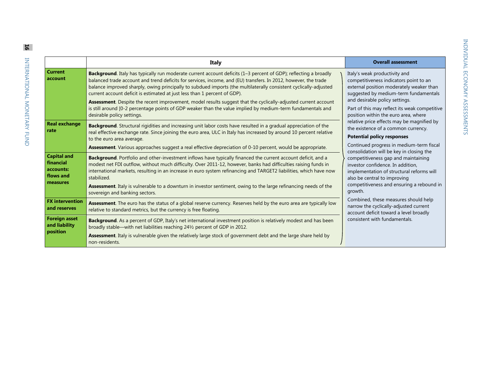| ļ                       |
|-------------------------|
|                         |
|                         |
|                         |
|                         |
| י<br>)<br>(             |
|                         |
|                         |
|                         |
|                         |
|                         |
|                         |
|                         |
|                         |
|                         |
|                         |
| l                       |
|                         |
|                         |
| ו<br>ו                  |
|                         |
| $\frac{1}{2}$<br>)<br>) |
|                         |
|                         |
|                         |
|                         |
|                         |
|                         |
|                         |
|                         |
| t                       |
|                         |

|                                                                       | Italy                                                                                                                                                                                                                                                                                                                                                                                                                                                                                                                       | <b>Overall assessment</b>                                                                                                                                                                                                                                                                                                                                                                                                                                                                                                                                   |
|-----------------------------------------------------------------------|-----------------------------------------------------------------------------------------------------------------------------------------------------------------------------------------------------------------------------------------------------------------------------------------------------------------------------------------------------------------------------------------------------------------------------------------------------------------------------------------------------------------------------|-------------------------------------------------------------------------------------------------------------------------------------------------------------------------------------------------------------------------------------------------------------------------------------------------------------------------------------------------------------------------------------------------------------------------------------------------------------------------------------------------------------------------------------------------------------|
| <b>Current</b><br>account                                             | Background. Italy has typically run moderate current account deficits (1-3 percent of GDP); reflecting a broadly<br>balanced trade account and trend deficits for services, income, and (EU) transfers. In 2012, however, the trade<br>balance improved sharply, owing principally to subdued imports (the multilaterally consistent cyclically-adjusted<br>current account deficit is estimated at just less than 1 percent of GDP).                                                                                       | Italy's weak productivity and<br>competitiveness indicators point to an<br>external position moderately weaker than<br>suggested by medium-term fundamentals                                                                                                                                                                                                                                                                                                                                                                                                |
|                                                                       | Assessment. Despite the recent improvement, model results suggest that the cyclically-adjusted current account<br>is still around [0-2 percentage points of GDP weaker than the value implied by medium-term fundamentals and<br>desirable policy settings.                                                                                                                                                                                                                                                                 | and desirable policy settings.<br>Part of this may reflect its weak competitive<br>position within the euro area, where                                                                                                                                                                                                                                                                                                                                                                                                                                     |
| <b>Real exchange</b><br>rate                                          | Background. Structural rigidities and increasing unit labor costs have resulted in a gradual appreciation of the<br>real effective exchange rate. Since joining the euro area, ULC in Italy has increased by around 10 percent relative<br>to the euro area average.<br>Assessment. Various approaches suggest a real effective depreciation of 0-10 percent, would be appropriate.                                                                                                                                         | relative price effects may be magnified by<br>the existence of a common currency.<br><b>Potential policy responses</b><br>Continued progress in medium-term fiscal<br>consolidation will be key in closing the<br>competitiveness gap and maintaining<br>investor confidence. In addition,<br>implementation of structural reforms will<br>also be central to improving<br>competitiveness and ensuring a rebound in<br>growth.<br>Combined, these measures should help<br>narrow the cyclically-adjusted current<br>account deficit toward a level broadly |
| <b>Capital and</b><br>financial<br>accounts:<br>flows and<br>measures | Background. Portfolio and other-investment inflows have typically financed the current account deficit, and a<br>modest net FDI outflow, without much difficulty. Over 2011-12, however, banks had difficulties raising funds in<br>international markets, resulting in an increase in euro system refinancing and TARGET2 liabilities, which have now<br>stabilized.<br>Assessment. Italy is vulnerable to a downturn in investor sentiment, owing to the large refinancing needs of the<br>sovereign and banking sectors. |                                                                                                                                                                                                                                                                                                                                                                                                                                                                                                                                                             |
| <b>FX</b> intervention<br>and reserves                                | Assessment. The euro has the status of a global reserve currency. Reserves held by the euro area are typically low<br>relative to standard metrics, but the currency is free floating.                                                                                                                                                                                                                                                                                                                                      |                                                                                                                                                                                                                                                                                                                                                                                                                                                                                                                                                             |
| <b>Foreign asset</b><br>and liability<br>position                     | Background. As a percent of GDP, Italy's net international investment position is relatively modest and has been<br>broadly stable—with net liabilities reaching 241/2 percent of GDP in 2012.<br>Assessment. Italy is vulnerable given the relatively large stock of government debt and the large share held by                                                                                                                                                                                                           | consistent with fundamentals.                                                                                                                                                                                                                                                                                                                                                                                                                                                                                                                               |
|                                                                       | non-residents.                                                                                                                                                                                                                                                                                                                                                                                                                                                                                                              |                                                                                                                                                                                                                                                                                                                                                                                                                                                                                                                                                             |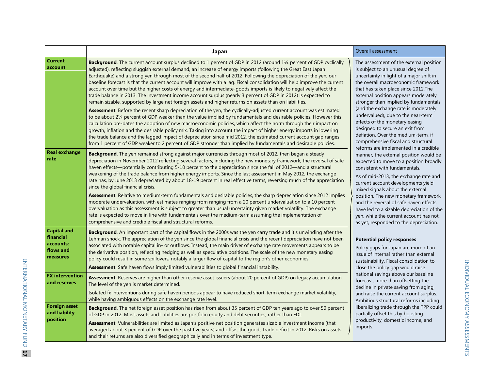|                                                                       | Japan                                                                                                                                                                                                                                                                                                                                                                                                                                                                                                                                                                                                                                                                                                                                                                                                                                                                                                                                                                                                                                                                                                                                                                                                  | Overall assessment                                                                                                                                                                                                                                                                                                                                                                                                                                                                                |
|-----------------------------------------------------------------------|--------------------------------------------------------------------------------------------------------------------------------------------------------------------------------------------------------------------------------------------------------------------------------------------------------------------------------------------------------------------------------------------------------------------------------------------------------------------------------------------------------------------------------------------------------------------------------------------------------------------------------------------------------------------------------------------------------------------------------------------------------------------------------------------------------------------------------------------------------------------------------------------------------------------------------------------------------------------------------------------------------------------------------------------------------------------------------------------------------------------------------------------------------------------------------------------------------|---------------------------------------------------------------------------------------------------------------------------------------------------------------------------------------------------------------------------------------------------------------------------------------------------------------------------------------------------------------------------------------------------------------------------------------------------------------------------------------------------|
| <b>Current</b><br>account                                             | Background. The current account surplus declined to 1 percent of GDP in 2012 (around 11/4 percent of GDP cyclically<br>adjusted), reflecting sluggish external demand, an increase of energy imports (following the Great East Japan<br>Earthquake) and a strong yen through most of the second half of 2012. Following the depreciation of the yen, our<br>baseline forecast is that the current account will improve with a lag. Fiscal consolidation will help improve the current<br>account over time but the higher costs of energy and intermediate-goods imports is likely to negatively affect the<br>trade balance in 2013. The investment income account surplus (nearly 3 percent of GDP in 2012) is expected to<br>remain sizable, supported by large net foreign assets and higher returns on assets than on liabilities.<br>Assessment. Before the recent sharp depreciation of the yen, the cyclically-adjusted current account was estimated<br>to be about 21/4 percent of GDP weaker than the value implied by fundamentals and desirable policies. However this<br>calculation pre-dates the adoption of new macroeconomic policies, which affect the norm through their impact on | The assessment of the external position<br>is subject to an unusual degree of<br>uncertainty in light of a major shift in<br>the overall macroeconomic framework<br>that has taken place since 2012.The<br>external position appears moderately<br>stronger than implied by fundamentals<br>(and the exchange rate is moderately<br>undervalued), due to the near-term<br>effects of the monetary easing                                                                                          |
|                                                                       | growth, inflation and the desirable policy mix. Taking into account the impact of higher energy imports in lowering<br>the trade balance and the lagged impact of depreciation since mid 2012, the estimated current account gap ranges<br>from 1 percent of GDP weaker to 2 percent of GDP stronger than implied by fundamentals and desirable policies.                                                                                                                                                                                                                                                                                                                                                                                                                                                                                                                                                                                                                                                                                                                                                                                                                                              | designed to secure an exit from<br>deflation. Over the medium-term, if<br>comprehensive fiscal and structural                                                                                                                                                                                                                                                                                                                                                                                     |
| <b>Real exchange</b><br>rate                                          | Background. The yen remained strong against major currencies through most of 2012, then began a steady<br>depreciation in November 2012 reflecting several factors, including the new monetary framework, the reversal of safe<br>haven effects—potentially contributing 5-10 percent to the depreciation since the fall of 2012—and a structural<br>weakening of the trade balance from higher energy imports. Since the last assessment in May 2012, the exchange<br>rate has, by June 2013 depreciated by about 18-19 percent in real effective terms, reversing much of the appreciation<br>since the global financial crisis.<br>Assessment. Relative to medium-term fundamentals and desirable policies, the sharp depreciation since 2012 implies<br>moderate undervaluation, with estimates ranging from ranging from a 20 percent undervaluation to a 10 percent<br>overvaluation as this assessment is subject to greater than usual uncertainty given market volatility. The exchange<br>rate is expected to move in line with fundamentals over the medium-term assuming the implementation of<br>comprehensive and credible fiscal and structural reforms.                                | reforms are implemented in a credible<br>manner, the external position would be<br>expected to move to a position broadly<br>consistent with fundamentals.<br>As of mid-2013, the exchange rate and<br>current account developments yield<br>mixed signals about the external<br>position. The new monetary framework<br>and the reversal of safe haven effects<br>have led to a sizable depreciation of the<br>yen, while the current account has not,<br>as yet, responded to the depreciation. |
| <b>Capital and</b><br>financial<br>accounts:<br>flows and<br>measures | Background. An important part of the capital flows in the 2000s was the yen carry trade and it's unwinding after the<br>Lehman shock. The appreciation of the yen since the global financial crisis and the recent depreciation have not been<br>associated with notable capital in- or outflows. Instead, the main driver of exchange rate movements appears to be<br>the derivative position, reflecting hedging as well as speculative positions. The scale of the new monetary easing<br>policy could result in some spillovers, notably a larger flow of capital to the region's other economies.<br>Assessment. Safe haven flows imply limited vulnerabilities to global financial instability.                                                                                                                                                                                                                                                                                                                                                                                                                                                                                                  | <b>Potential policy responses</b><br>Policy gaps for Japan are more of an<br>issue of internal rather than external<br>sustainability. Fiscal consolidation to<br>close the policy gap would raise                                                                                                                                                                                                                                                                                                |
| <b>FX</b> intervention<br>and reserves                                | Assessment. Reserves are higher than other reserve asset issuers (about 20 percent of GDP) on legacy accumulation.<br>The level of the yen is market determined.<br>Isolated fx interventions during safe haven periods appear to have reduced short-term exchange market volatility,<br>while having ambiguous effects on the exchange rate level.                                                                                                                                                                                                                                                                                                                                                                                                                                                                                                                                                                                                                                                                                                                                                                                                                                                    | national savings above our baseline<br>forecast, more than offsetting the<br>decline in private saving from aging,<br>and raise the current account surplus.<br>Ambitious structural reforms including                                                                                                                                                                                                                                                                                            |
| <b>Foreign asset</b><br>and liability<br>position                     | Background. The net foreign asset position has risen from about 35 percent of GDP ten years ago to over 50 percent<br>of GDP in 2012. Most assets and liabilities are portfolio equity and debt securities, rather than FDI.<br>Assessment. Vulnerabilities are limited as Japan's positive net position generates sizable investment income (that<br>averaged about 3 percent of GDP over the past five years) and offset the goods trade deficit in 2012. Risks on assets<br>and their returns are also diversified geographically and in terms of investment type.                                                                                                                                                                                                                                                                                                                                                                                                                                                                                                                                                                                                                                  | liberalizing trade through the TPP could<br>partially offset this by boosting<br>productivity, domestic income, and<br>imports.                                                                                                                                                                                                                                                                                                                                                                   |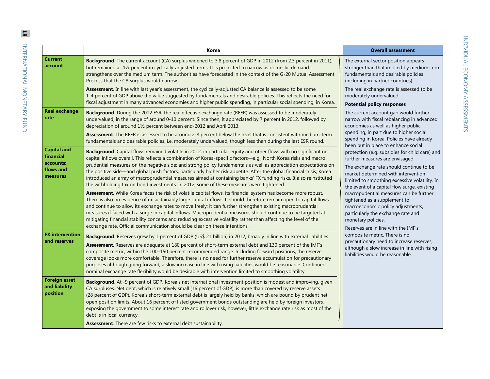|                                                                       | Korea                                                                                                                                                                                                                                                                                                                                                                                                                                                                                                                                                                                                                                                                                                                                                                                                                                                                                                                                                                                                                                                                                                                                                                                                                                                                                                                                                                          | <b>Overall assessment</b>                                                                                                                                                                                                                                                                                                                                                                                                                                                                                                    |
|-----------------------------------------------------------------------|--------------------------------------------------------------------------------------------------------------------------------------------------------------------------------------------------------------------------------------------------------------------------------------------------------------------------------------------------------------------------------------------------------------------------------------------------------------------------------------------------------------------------------------------------------------------------------------------------------------------------------------------------------------------------------------------------------------------------------------------------------------------------------------------------------------------------------------------------------------------------------------------------------------------------------------------------------------------------------------------------------------------------------------------------------------------------------------------------------------------------------------------------------------------------------------------------------------------------------------------------------------------------------------------------------------------------------------------------------------------------------|------------------------------------------------------------------------------------------------------------------------------------------------------------------------------------------------------------------------------------------------------------------------------------------------------------------------------------------------------------------------------------------------------------------------------------------------------------------------------------------------------------------------------|
| <b>Current</b><br>account                                             | Background. The current account (CA) surplus widened to 3.8 percent of GDP in 2012 (from 2.3 percent in 2011),<br>but remained at 41/2 percent in cyclically-adjusted terms. It is projected to narrow as domestic demand<br>strengthens over the medium term. The authorities have forecasted in the context of the G-20 Mutual Assessment<br>Process that the CA surplus would narrow.                                                                                                                                                                                                                                                                                                                                                                                                                                                                                                                                                                                                                                                                                                                                                                                                                                                                                                                                                                                       | The external sector position appears<br>stronger than that implied by medium-term<br>fundamentals and desirable policies<br>(including in partner countries).                                                                                                                                                                                                                                                                                                                                                                |
|                                                                       | Assessment. In line with last year's assessment, the cyclically-adjusted CA balance is assessed to be some<br>1-4 percent of GDP above the value suggested by fundamentals and desirable policies. This reflects the need for<br>fiscal adjustment in many advanced economies and higher public spending, in particular social spending, in Korea.                                                                                                                                                                                                                                                                                                                                                                                                                                                                                                                                                                                                                                                                                                                                                                                                                                                                                                                                                                                                                             | The real exchange rate is assessed to be<br>moderately undervalued.<br><b>Potential policy responses</b>                                                                                                                                                                                                                                                                                                                                                                                                                     |
| <b>Real exchange</b><br>rate                                          | Background. During the 2012 ESR, the real effective exchange rate (REER) was assessed to be moderately<br>undervalued, in the range of around 0-10 percent. Since then, it appreciated by 7 percent in 2012, followed by<br>depreciation of around 11/2 percent between end-2012 and April 2013.<br>Assessment. The REER is assessed to be around 2-8 percent below the level that is consistent with medium-term<br>fundamentals and desirable policies, i.e. moderately undervalued, though less than during the last ESR round.                                                                                                                                                                                                                                                                                                                                                                                                                                                                                                                                                                                                                                                                                                                                                                                                                                             | The current account gap would further<br>narrow with fiscal rebalancing in advanced<br>economies as well as higher public<br>spending, in part due to higher social<br>spending in Korea. Policies have already                                                                                                                                                                                                                                                                                                              |
| <b>Capital and</b><br>financial<br>accounts:<br>flows and<br>measures | Background. Capital flows remained volatile in 2012, in particular equity and other flows with no significant net<br>capital inflows overall. This reflects a combination of Korea-specific factors-e.g., North Korea risks and macro<br>prudential measures on the negative side; and strong policy fundamentals as well as appreciation expectations on<br>the positive side—and global push factors, particularly higher risk appetite. After the global financial crisis, Korea<br>introduced an array of macroprudential measures aimed at containing banks' FX funding risks. It also reinstituted<br>the withholding tax on bond investments. In 2012, some of these measures were tightened.<br>Assessment. While Korea faces the risk of volatile capital flows, its financial system has become more robust.<br>There is also no evidence of unsustainably large capital inflows. It should therefore remain open to capital flows<br>and continue to allow its exchange rates to move freely; it can further strengthen existing macroprudential<br>measures if faced with a surge in capital inflows. Macroprudential measures should continue to be targeted at<br>mitigating financial stability concerns and reducing excessive volatility rather than affecting the level of the<br>exchange rate. Official communication should be clear on these intentions. | been put in place to enhance social<br>protection (e.g. subsidies for child care) and<br>further measures are envisaged.<br>The exchange rate should continue to be<br>market determined with intervention<br>limited to smoothing excessive volatility. In<br>the event of a capital flow surge, existing<br>macropudential measures can be further<br>tightened as a supplement to<br>macroeconomic policy adjustments,<br>particularly the exchange rate and<br>monetary policies.<br>Reserves are in line with the IMF's |
| <b>FX</b> intervention<br>and reserves                                | Background. Reserves grew by 1 percent of GDP (US\$ 21 billion) in 2012, broadly in line with external liabilities.<br>Assessment. Reserves are adequate at 180 percent of short-term external debt and 130 percent of the IMF's<br>composite metric, within the 100-150 percent recommended range. Including forward positions, the reserve<br>coverage looks more comfortable. Therefore, there is no need for further reserve accumulation for precautionary<br>purposes although going forward, a slow increase in line with rising liabilities would be reasonable. Continued<br>nominal exchange rate flexibility would be desirable with intervention limited to smoothing volatility.                                                                                                                                                                                                                                                                                                                                                                                                                                                                                                                                                                                                                                                                                  | composite metric. There is no<br>precautionary need to increase reserves,<br>although a slow increase in line with rising<br>liabilities would be reasonable.                                                                                                                                                                                                                                                                                                                                                                |
| <b>Foreign asset</b><br>and liability<br>position                     | Background. At -9 percent of GDP, Korea's net international investment position is modest and improving, given<br>CA surpluses. Net debt, which is relatively small (16 percent of GDP), is more than covered by reserve assets<br>(28 percent of GDP). Korea's short-term external debt is largely held by banks, which are bound by prudent net<br>open position limits. About 16 percent of listed government bonds outstanding are held by foreign investors,<br>exposing the government to some interest rate and rollover risk, however, little exchange rate risk as most of the<br>debt is in local currency.<br>Assessment. There are few risks to external debt sustainability.                                                                                                                                                                                                                                                                                                                                                                                                                                                                                                                                                                                                                                                                                      |                                                                                                                                                                                                                                                                                                                                                                                                                                                                                                                              |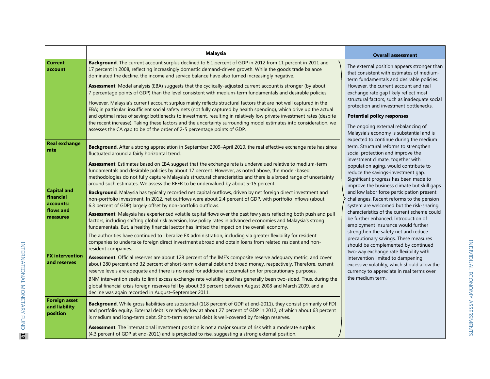|                                                                       | <b>Malaysia</b>                                                                                                                                                                                                                                                                                                                                                                                                                                                                                                                                                                                                                                                                                                                                                                                                                                                                                                                                                                                                                                                                                                               | <b>Overall assessment</b>                                                                                                                                                                                                                                                                                                                                                                                                                                                                                                                                                                                                                                                                                                                                                                                                                                                                                                    |
|-----------------------------------------------------------------------|-------------------------------------------------------------------------------------------------------------------------------------------------------------------------------------------------------------------------------------------------------------------------------------------------------------------------------------------------------------------------------------------------------------------------------------------------------------------------------------------------------------------------------------------------------------------------------------------------------------------------------------------------------------------------------------------------------------------------------------------------------------------------------------------------------------------------------------------------------------------------------------------------------------------------------------------------------------------------------------------------------------------------------------------------------------------------------------------------------------------------------|------------------------------------------------------------------------------------------------------------------------------------------------------------------------------------------------------------------------------------------------------------------------------------------------------------------------------------------------------------------------------------------------------------------------------------------------------------------------------------------------------------------------------------------------------------------------------------------------------------------------------------------------------------------------------------------------------------------------------------------------------------------------------------------------------------------------------------------------------------------------------------------------------------------------------|
| <b>Current</b><br>account                                             | Background. The current account surplus declined to 6.1 percent of GDP in 2012 from 11 percent in 2011 and<br>17 percent in 2008, reflecting increasingly domestic demand-driven growth. While the goods trade balance<br>dominated the decline, the income and service balance have also turned increasingly negative.<br>Assessment. Model analysis (EBA) suggests that the cyclically-adjusted current account is stronger (by about<br>7 percentage points of GDP) than the level consistent with medium-term fundamentals and desirable policies.<br>However, Malaysia's current account surplus mainly reflects structural factors that are not well captured in the<br>EBA; in particular: insufficient social safety nets (not fully captured by health spending), which drive up the actual<br>and optimal rates of saving; bottlenecks to investment, resulting in relatively low private investment rates (despite<br>the recent increase). Taking these factors and the uncertainty surrounding model estimates into consideration, we<br>assesses the CA gap to be of the order of 2-5 percentage points of GDP. | The external position appears stronger than<br>that consistent with estimates of medium-<br>term fundamentals and desirable policies.<br>However, the current account and real<br>exchange rate gap likely reflect most<br>structural factors, such as inadequate social<br>protection and investment bottlenecks.<br><b>Potential policy responses</b><br>The ongoing external rebalancing of<br>Malaysia's economy is substantial and is                                                                                                                                                                                                                                                                                                                                                                                                                                                                                   |
| <b>Real exchange</b><br>rate                                          | Background. After a strong appreciation in September 2009-April 2010, the real effective exchange rate has since<br>fluctuated around a fairly horizontal trend.<br>Assessment. Estimates based on EBA suggest that the exchange rate is undervalued relative to medium-term<br>fundamentals and desirable policies by about 17 percent. However, as noted above, the model-based<br>methodologies do not fully capture Malaysia's structural characteristics and there is a broad range of uncertainty<br>around such estimates. We assess the REER to be undervalued by about 5-15 percent.                                                                                                                                                                                                                                                                                                                                                                                                                                                                                                                                 | expected to continue during the medium<br>term. Structural reforms to strengthen<br>social protection and improve the<br>investment climate, together with<br>population aging, would contribute to<br>reduce the savings-investment gap.<br>Significant progress has been made to<br>improve the business climate but skill gaps<br>and low labor force participation present<br>challenges. Recent reforms to the pension<br>system are welcomed but the risk-sharing<br>characteristics of the current scheme could<br>be further enhanced. Introduction of<br>employment insurance would further<br>strengthen the safety net and reduce<br>precautionary savings. These measures<br>should be complemented by continued<br>two-way exchange rate flexibility with<br>intervention limited to dampening<br>excessive volatility, which should allow the<br>currency to appreciate in real terms over<br>the medium term. |
| <b>Capital and</b><br>financial<br>accounts:<br>flows and<br>measures | Background. Malaysia has typically recorded net capital outflows, driven by net foreign direct investment and<br>non-portfolio investment. In 2012, net outflows were about 2.4 percent of GDP, with portfolio inflows (about<br>6.3 percent of GDP) largely offset by non-portfolio outflows.<br>Assessment. Malaysia has experienced volatile capital flows over the past few years reflecting both push and pull<br>factors, including shifting global risk aversion, low policy rates in advanced economies and Malaysia's strong<br>fundamentals. But, a healthy financial sector has limited the impact on the overall economy.<br>The authorities have continued to liberalize FX administration, including via greater flexibility for resident<br>companies to undertake foreign direct investment abroad and obtain loans from related resident and non-<br>resident companies.                                                                                                                                                                                                                                     |                                                                                                                                                                                                                                                                                                                                                                                                                                                                                                                                                                                                                                                                                                                                                                                                                                                                                                                              |
| <b>FX</b> intervention<br>and reserves                                | Assessment. Official reserves are about 128 percent of the IMF's composite reserve adequacy metric, and cover<br>about 280 percent and 32 percent of short-term external debt and broad money, respectively. Therefore, current<br>reserve levels are adequate and there is no need for additional accumulation for precautionary purposes.<br>BNM intervention seeks to limit excess exchange rate volatility and has generally been two-sided. Thus, during the<br>global financial crisis foreign reserves fell by about 33 percent between August 2008 and March 2009, and a<br>decline was again recorded in August-September 2011.                                                                                                                                                                                                                                                                                                                                                                                                                                                                                      |                                                                                                                                                                                                                                                                                                                                                                                                                                                                                                                                                                                                                                                                                                                                                                                                                                                                                                                              |
| <b>Foreign asset</b><br>and liability<br>position                     | Background. While gross liabilities are substantial (118 percent of GDP at end-2011), they consist primarily of FDI<br>and portfolio equity. External debt is relatively low at about 27 percent of GDP in 2012, of which about 63 percent<br>is medium and long-term debt. Short-term external debt is well-covered by foreign reserves.<br>Assessment. The international investment position is not a major source of risk with a moderate surplus<br>(4.3 percent of GDP at end-2011) and is projected to rise, suggesting a strong external position.                                                                                                                                                                                                                                                                                                                                                                                                                                                                                                                                                                     |                                                                                                                                                                                                                                                                                                                                                                                                                                                                                                                                                                                                                                                                                                                                                                                                                                                                                                                              |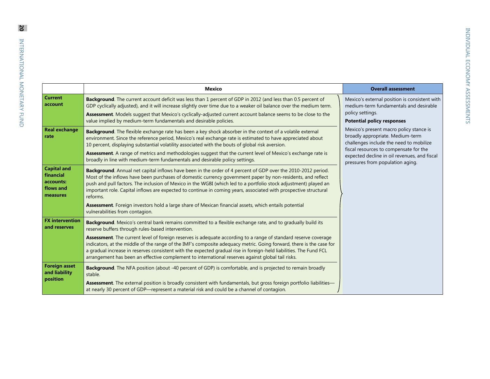| Mexico                                                                                                                                                                                                                                                                                                                                                                                                                                                                                                                               | <b>Overall assessment</b>                                                                                                                                                                                                                            |
|--------------------------------------------------------------------------------------------------------------------------------------------------------------------------------------------------------------------------------------------------------------------------------------------------------------------------------------------------------------------------------------------------------------------------------------------------------------------------------------------------------------------------------------|------------------------------------------------------------------------------------------------------------------------------------------------------------------------------------------------------------------------------------------------------|
| Background. The current account deficit was less than 1 percent of GDP in 2012 (and less than 0.5 percent of<br>GDP cyclically adjusted), and it will increase slightly over time due to a weaker oil balance over the medium term.<br>Assessment. Models suggest that Mexico's cyclically-adjusted current account balance seems to be close to the<br>value implied by medium-term fundamentals and desirable policies.                                                                                                            | Mexico's external position is consistent with<br>medium-term fundamentals and desirable<br>policy settings.<br><b>Potential policy responses</b>                                                                                                     |
| Background. The flexible exchange rate has been a key shock absorber in the context of a volatile external<br>environment. Since the reference period, Mexico's real exchange rate is estimated to have appreciated about<br>10 percent, displaying substantial volatility associated with the bouts of global risk aversion.<br><b>Assessment.</b> A range of metrics and methodologies suggest that the current level of Mexico's exchange rate is<br>broadly in line with medium-term fundamentals and desirable policy settings. | Mexico's present macro policy stance is<br>broadly appropriate. Medium-term<br>challenges include the need to mobilize<br>fiscal resources to compensate for the<br>expected decline in oil revenues, and fiscal<br>pressures from population aging. |
| <b>Background.</b> Annual net capital inflows have been in the order of 4 percent of GDP over the 2010-2012 period.<br>Most of the inflows have been purchases of domestic currency government paper by non-residents, and reflect<br>push and pull factors. The inclusion of Mexico in the WGBI (which led to a portfolio stock adjustment) played an<br>important role. Capital inflows are expected to continue in coming years, associated with prospective structural<br>reforms.                                               |                                                                                                                                                                                                                                                      |
| Assessment. Foreign investors hold a large share of Mexican financial assets, which entails potential<br>vulnerabilities from contagion.                                                                                                                                                                                                                                                                                                                                                                                             |                                                                                                                                                                                                                                                      |
| <b>Background.</b> Mexico's central bank remains committed to a flexible exchange rate, and to gradually build its<br>reserve buffers through rules-based intervention.                                                                                                                                                                                                                                                                                                                                                              |                                                                                                                                                                                                                                                      |
| Assessment. The current level of foreign reserves is adequate according to a range of standard reserve coverage<br>indicators, at the middle of the range of the IMF's composite adequacy metric. Going forward, there is the case for<br>a gradual increase in reserves consistent with the expected gradual rise in foreign-held liabilities. The Fund FCL<br>arrangement has been an effective complement to international reserves against global tail risks.                                                                    |                                                                                                                                                                                                                                                      |
| <b>Background.</b> The NFA position (about -40 percent of GDP) is comfortable, and is projected to remain broadly<br>stable.<br>Assessment. The external position is broadly consistent with fundamentals, but gross foreign portfolio liabilities-                                                                                                                                                                                                                                                                                  |                                                                                                                                                                                                                                                      |
|                                                                                                                                                                                                                                                                                                                                                                                                                                                                                                                                      | at nearly 30 percent of GDP—represent a material risk and could be a channel of contagion.                                                                                                                                                           |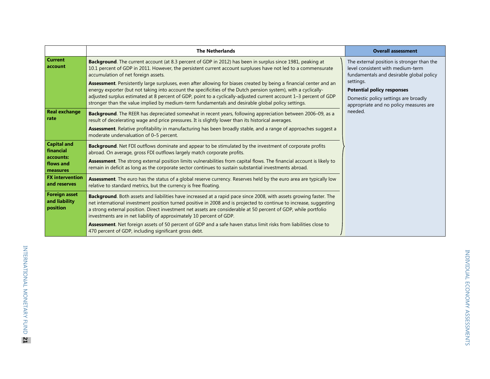|                                                   | <b>The Netherlands</b>                                                                                                                                                                                                                                                                                                                                                                                                                                           | <b>Overall assessment</b>                                                                                                        |
|---------------------------------------------------|------------------------------------------------------------------------------------------------------------------------------------------------------------------------------------------------------------------------------------------------------------------------------------------------------------------------------------------------------------------------------------------------------------------------------------------------------------------|----------------------------------------------------------------------------------------------------------------------------------|
| <b>Current</b><br>account                         | Background. The current account (at 8.3 percent of GDP in 2012) has been in surplus since 1981, peaking at<br>10.1 percent of GDP in 2011. However, the persistent current account surpluses have not led to a commensurate<br>accumulation of net foreign assets.                                                                                                                                                                                               | The external position is stronger than the<br>level consistent with medium-term<br>fundamentals and desirable global policy      |
|                                                   | Assessment. Persistently large surpluses, even after allowing for biases created by being a financial center and an<br>energy exporter (but not taking into account the specificities of the Dutch pension system), with a cyclically-<br>adjusted surplus estimated at 8 percent of GDP, point to a cyclically-adjusted current account 1-3 percent of GDP<br>stronger than the value implied by medium-term fundamentals and desirable global policy settings. | settings.<br><b>Potential policy responses</b><br>Domestic policy settings are broadly<br>appropriate and no policy measures are |
| <b>Real exchange</b><br>rate                      | Background. The REER has depreciated somewhat in recent years, following appreciation between 2006-09, as a<br>result of decelerating wage and price pressures. It is slightly lower than its historical averages.                                                                                                                                                                                                                                               | needed.                                                                                                                          |
|                                                   | Assessment. Relative profitability in manufacturing has been broadly stable, and a range of approaches suggest a<br>moderate undervaluation of 0-5 percent.                                                                                                                                                                                                                                                                                                      |                                                                                                                                  |
| <b>Capital and</b><br>financial                   | Background. Net FDI outflows dominate and appear to be stimulated by the investment of corporate profits<br>abroad. On average, gross FDI outflows largely match corporate profits.                                                                                                                                                                                                                                                                              |                                                                                                                                  |
| accounts:<br>flows and<br>measures                | Assessment. The strong external position limits vulnerabilities from capital flows. The financial account is likely to<br>remain in deficit as long as the corporate sector continues to sustain substantial investments abroad.                                                                                                                                                                                                                                 |                                                                                                                                  |
| <b>FX</b> intervention<br>and reserves            | Assessment. The euro has the status of a global reserve currency. Reserves held by the euro area are typically low<br>relative to standard metrics, but the currency is free floating.                                                                                                                                                                                                                                                                           |                                                                                                                                  |
| <b>Foreign asset</b><br>and liability<br>position | Background. Both assets and liabilities have increased at a rapid pace since 2008, with assets growing faster. The<br>net international investment position turned positive in 2008 and is projected to continue to increase, suggesting<br>a strong external position. Direct investment net assets are considerable at 50 percent of GDP, while portfolio<br>investments are in net liability of approximately 10 percent of GDP.                              |                                                                                                                                  |
|                                                   | Assessment. Net foreign assets of 50 percent of GDP and a safe haven status limit risks from liabilities close to<br>470 percent of GDP, including significant gross debt.                                                                                                                                                                                                                                                                                       |                                                                                                                                  |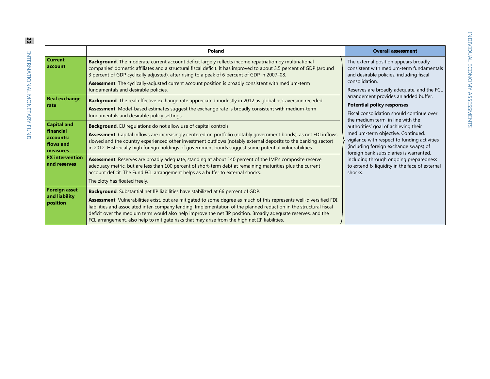| i<br>Ï           |
|------------------|
|                  |
| ו<br>)<br>(<br>١ |
|                  |
| うりりり             |
| ţ                |

|                                                                       | Poland                                                                                                                                                                                                                                                                                                                                                                                                                                                                                                                                                   | <b>Overall assessment</b>                                                                                                                                                                                                                                                                                                                                                                                                                                                                                                                                                                                                                                                             |
|-----------------------------------------------------------------------|----------------------------------------------------------------------------------------------------------------------------------------------------------------------------------------------------------------------------------------------------------------------------------------------------------------------------------------------------------------------------------------------------------------------------------------------------------------------------------------------------------------------------------------------------------|---------------------------------------------------------------------------------------------------------------------------------------------------------------------------------------------------------------------------------------------------------------------------------------------------------------------------------------------------------------------------------------------------------------------------------------------------------------------------------------------------------------------------------------------------------------------------------------------------------------------------------------------------------------------------------------|
| <b>Current</b><br>account                                             | <b>Background.</b> The moderate current account deficit largely reflects income repatriation by multinational<br>companies' domestic affiliates and a structural fiscal deficit. It has improved to about 3.5 percent of GDP (around<br>3 percent of GDP cyclically adjusted), after rising to a peak of 6 percent of GDP in 2007–08.<br>Assessment. The cyclically-adjusted current account position is broadly consistent with medium-term<br>fundamentals and desirable policies.                                                                     | The external position appears broadly<br>consistent with medium-term fundamentals<br>and desirable policies, including fiscal<br>consolidation.<br>Reserves are broadly adequate, and the FCL<br>arrangement provides an added buffer.<br><b>Potential policy responses</b><br>Fiscal consolidation should continue over<br>the medium term, in line with the<br>authorities' goal of achieving their<br>medium-term objective. Continued.<br>vigilance with respect to funding activities<br>(including foreign exchange swaps) of<br>foreign bank subsidiaries is warranted,<br>including through ongoing preparedness<br>to extend fx liquidity in the face of external<br>shocks. |
| <b>Real exchange</b><br>rate                                          | Background. The real effective exchange rate appreciated modestly in 2012 as global risk aversion receded.<br>Assessment. Model-based estimates suggest the exchange rate is broadly consistent with medium-term<br>fundamentals and desirable policy settings.                                                                                                                                                                                                                                                                                          |                                                                                                                                                                                                                                                                                                                                                                                                                                                                                                                                                                                                                                                                                       |
| <b>Capital and</b><br>financial<br>accounts:<br>flows and<br>measures | <b>Background.</b> EU regulations do not allow use of capital controls<br>Assessment. Capital inflows are increasingly centered on portfolio (notably government bonds), as net FDI inflows<br>slowed and the country experienced other investment outflows (notably external deposits to the banking sector)<br>in 2012. Historically high foreign holdings of government bonds suggest some potential vulnerabilities.                                                                                                                                 |                                                                                                                                                                                                                                                                                                                                                                                                                                                                                                                                                                                                                                                                                       |
| <b>FX</b> intervention<br>and reserves                                | Assessment. Reserves are broadly adequate, standing at about 140 percent of the IMF's composite reserve<br>adequacy metric, but are less than 100 percent of short-term debt at remaining maturities plus the current<br>account deficit. The Fund FCL arrangement helps as a buffer to external shocks.<br>The zloty has floated freely.                                                                                                                                                                                                                |                                                                                                                                                                                                                                                                                                                                                                                                                                                                                                                                                                                                                                                                                       |
| <b>Foreign asset</b><br>and liability<br>position                     | <b>Background.</b> Substantial net IIP liabilities have stabilized at 66 percent of GDP.<br>Assessment. Vulnerabilities exist, but are mitigated to some degree as much of this represents well-diversified FDI<br>liabilities and associated inter-company lending. Implementation of the planned reduction in the structural fiscal<br>deficit over the medium term would also help improve the net IIP position. Broadly adequate reserves, and the<br>FCL arrangement, also help to mitigate risks that may arise from the high net IIP liabilities. |                                                                                                                                                                                                                                                                                                                                                                                                                                                                                                                                                                                                                                                                                       |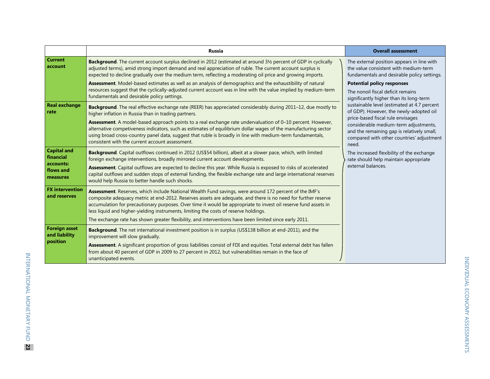|                                                                       | <b>Russia</b>                                                                                                                                                                                                                                                                                                                                                                                                                                                                                                                                                            | <b>Overall assessment</b>                                                                                                                                                                                                                                                                                                                                                            |
|-----------------------------------------------------------------------|--------------------------------------------------------------------------------------------------------------------------------------------------------------------------------------------------------------------------------------------------------------------------------------------------------------------------------------------------------------------------------------------------------------------------------------------------------------------------------------------------------------------------------------------------------------------------|--------------------------------------------------------------------------------------------------------------------------------------------------------------------------------------------------------------------------------------------------------------------------------------------------------------------------------------------------------------------------------------|
| <b>Current</b><br>account                                             | Background. The current account surplus declined in 2012 (estimated at around 3½ percent of GDP in cyclically<br>adjusted terms), amid strong import demand and real appreciation of ruble. The current account surplus is<br>expected to decline gradually over the medium term, reflecting a moderating oil price and growing imports.                                                                                                                                                                                                                                 | The external position appears in line with<br>the value consistent with medium-term<br>fundamentals and desirable policy settings.                                                                                                                                                                                                                                                   |
|                                                                       | Assessment. Model-based estimates as well as an analysis of demographics and the exhaustibility of natural<br>resources suggest that the cyclically-adjusted current account was in line with the value implied by medium-term<br>fundamentals and desirable policy settings.                                                                                                                                                                                                                                                                                            | <b>Potential policy responses</b><br>The nonoil fiscal deficit remains<br>significantly higher than its long-term                                                                                                                                                                                                                                                                    |
| <b>Real exchange</b><br>rate                                          | Background. The real effective exchange rate (REER) has appreciated considerably during 2011-12, due mostly to<br>higher inflation in Russia than in trading partners.<br>Assessment. A model-based approach points to a real exchange rate undervaluation of 0-10 percent. However,<br>alternative competiveness indicators, such as estimates of equilibrium dollar wages of the manufacturing sector<br>using broad cross-country panel data, suggest that ruble is broadly in line with medium-term fundamentals,<br>consistent with the current account assessment. | sustainable level (estimated at 4.7 percent<br>of GDP). However, the newly-adopted oil<br>price-based fiscal rule envisages<br>considerable medium-term adjustments,<br>and the remaining gap is relatively small,<br>compared with other countries' adjustment<br>need.<br>The increased flexibility of the exchange<br>rate should help maintain appropriate<br>external balances. |
| <b>Capital and</b><br>financial<br>accounts:<br>flows and<br>measures | Background. Capital outflows continued in 2012 (US\$54 billion), albeit at a slower pace, which, with limited<br>foreign exchange interventions, broadly mirrored current account developments.<br>Assessment. Capital outflows are expected to decline this year. While Russia is exposed to risks of accelerated<br>capital outflows and sudden stops of external funding, the flexible exchange rate and large international reserves<br>would help Russia to better handle such shocks.                                                                              |                                                                                                                                                                                                                                                                                                                                                                                      |
| <b>FX</b> intervention<br>and reserves                                | Assessment. Reserves, which include National Wealth Fund savings, were around 172 percent of the IMF's<br>composite adequacy metric at end-2012. Reserves assets are adequate, and there is no need for further reserve<br>accumulation for precautionary purposes. Over time it would be appropriate to invest oil reserve fund assets in<br>less liquid and higher-yielding instruments, limiting the costs of reserve holdings.<br>The exchange rate has shown greater flexibility, and interventions have been limited since early 2011.                             |                                                                                                                                                                                                                                                                                                                                                                                      |
| <b>Foreign asset</b><br>and liability<br>position                     | <b>Background.</b> The net international investment position is in surplus (US\$138 billion at end-2011), and the<br>improvement will slow gradually.<br>Assessment. A significant proportion of gross liabilities consist of FDI and equities. Total external debt has fallen<br>from about 40 percent of GDP in 2009 to 27 percent in 2012, but vulnerabilities remain in the face of<br>unanticipated events.                                                                                                                                                         |                                                                                                                                                                                                                                                                                                                                                                                      |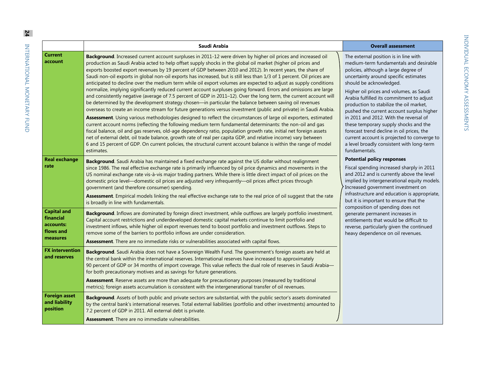| フェッカ つにって っくこう                                                   |  |
|------------------------------------------------------------------|--|
|                                                                  |  |
| ו<br>ו                                                           |  |
| <b>:<br/>יולוגיה היולוגיה בי</b><br>יננד<br>$\frac{1}{\epsilon}$ |  |

|                                                                       | Saudi Arabia                                                                                                                                                                                                                                                                                                                                                                                                                                                                                                                                                                                                                                                                                                                                                                                                                                                                                                                                                                                                                                                                                                                                                                                                                                                                                                                                                                                                                                                                                                                                                                                                                                                                     | <b>Overall assessment</b>                                                                                                                                                                                                                                                                                                                                                                                                                                                                                                                                                                                                                                                                                                                                                                                                                                                                                                                                                                                                                                                                                                                  |
|-----------------------------------------------------------------------|----------------------------------------------------------------------------------------------------------------------------------------------------------------------------------------------------------------------------------------------------------------------------------------------------------------------------------------------------------------------------------------------------------------------------------------------------------------------------------------------------------------------------------------------------------------------------------------------------------------------------------------------------------------------------------------------------------------------------------------------------------------------------------------------------------------------------------------------------------------------------------------------------------------------------------------------------------------------------------------------------------------------------------------------------------------------------------------------------------------------------------------------------------------------------------------------------------------------------------------------------------------------------------------------------------------------------------------------------------------------------------------------------------------------------------------------------------------------------------------------------------------------------------------------------------------------------------------------------------------------------------------------------------------------------------|--------------------------------------------------------------------------------------------------------------------------------------------------------------------------------------------------------------------------------------------------------------------------------------------------------------------------------------------------------------------------------------------------------------------------------------------------------------------------------------------------------------------------------------------------------------------------------------------------------------------------------------------------------------------------------------------------------------------------------------------------------------------------------------------------------------------------------------------------------------------------------------------------------------------------------------------------------------------------------------------------------------------------------------------------------------------------------------------------------------------------------------------|
| <b>Current</b><br>account                                             | Background. Increased current account surpluses in 2011-12 were driven by higher oil prices and increased oil<br>production as Saudi Arabia acted to help offset supply shocks in the global oil market (higher oil prices and<br>exports boosted export revenues by 19 percent of GDP between 2010 and 2012). In recent years, the share of<br>Saudi non-oil exports in global non-oil exports has increased, but is still less than 1/3 of 1 percent. Oil prices are<br>anticipated to decline over the medium term while oil export volumes are expected to adjust as supply conditions<br>normalize, implying significantly reduced current account surpluses going forward. Errors and omissions are large<br>and consistently negative (average of 7.5 percent of GDP in 2011-12). Over the long term, the current account will<br>be determined by the development strategy chosen-in particular the balance between saving oil revenues<br>overseas to create an income stream for future generations versus investment (public and private) in Saudi Arabia.<br>Assessment. Using various methodologies designed to reflect the circumstances of large oil exporters, estimated<br>current account norms (reflecting the following medium term fundamental determinants: the non-oil and gas<br>fiscal balance, oil and gas reserves, old-age dependency ratio, population growth rate, initial net foreign assets<br>net of external debt, oil trade balance, growth rate of real per capita GDP, and relative income) vary between<br>6 and 15 percent of GDP. On current policies, the structural current account balance is within the range of model<br>estimates. | The external position is in line with<br>medium-term fundamentals and desirable<br>policies, although a large degree of<br>uncertainty around specific estimates<br>should be acknowledged.<br>Higher oil prices and volumes, as Saudi<br>Arabia fulfilled its commitment to adjust<br>production to stabilize the oil market,<br>pushed the current account surplus higher<br>in 2011 and 2012. With the reversal of<br>these temporary supply shocks and the<br>forecast trend decline in oil prices, the<br>current account is projected to converge to<br>a level broadly consistent with long-term<br>fundamentals.<br><b>Potential policy responses</b><br>Fiscal spending increased sharply in 2011<br>and 2012 and is currently above the level<br>implied by intergenerational equity models.<br>Increased government investment on<br>infrastructure and education is appropriate,<br>but it is important to ensure that the<br>composition of spending does not<br>generate permanent increases in<br>entitlements that would be difficult to<br>reverse, particularly given the continued<br>heavy dependence on oil revenues. |
| <b>Real exchange</b><br>rate                                          | Background. Saudi Arabia has maintained a fixed exchange rate against the US dollar without realignment<br>since 1986. The real effective exchange rate is primarily influenced by oil price dynamics and movements in the<br>US nominal exchange rate vis-à-vis major trading partners. While there is little direct impact of oil prices on the<br>domestic price level—domestic oil prices are adjusted very infrequently—oil prices affect prices through<br>government (and therefore consumer) spending.<br>Assessment. Empirical models linking the real effective exchange rate to the real price of oil suggest that the rate<br>is broadly in line with fundamentals.                                                                                                                                                                                                                                                                                                                                                                                                                                                                                                                                                                                                                                                                                                                                                                                                                                                                                                                                                                                                  |                                                                                                                                                                                                                                                                                                                                                                                                                                                                                                                                                                                                                                                                                                                                                                                                                                                                                                                                                                                                                                                                                                                                            |
| <b>Capital and</b><br>financial<br>accounts:<br>flows and<br>measures | Background. Inflows are dominated by foreign direct investment, while outflows are largely portfolio investment.<br>Capital account restrictions and underdeveloped domestic capital markets continue to limit portfolio and<br>investment inflows, while higher oil export revenues tend to boost portfolio and investment outflows. Steps to<br>remove some of the barriers to portfolio inflows are under consideration.<br>Assessment. There are no immediate risks or vulnerabilities associated with capital flows.                                                                                                                                                                                                                                                                                                                                                                                                                                                                                                                                                                                                                                                                                                                                                                                                                                                                                                                                                                                                                                                                                                                                                        |                                                                                                                                                                                                                                                                                                                                                                                                                                                                                                                                                                                                                                                                                                                                                                                                                                                                                                                                                                                                                                                                                                                                            |
| <b>FX</b> intervention<br>and reserves                                | Background. Saudi Arabia does not have a Sovereign Wealth Fund. The government's foreign assets are held at<br>the central bank within the international reserves. International reserves have increased to approximately<br>90 percent of GDP or 34 months of import coverage. This value reflects the dual role of reserves in Saudi Arabia-<br>for both precautionary motives and as savings for future generations.<br>Assessment. Reserve assets are more than adequate for precautionary purposes (measured by traditional                                                                                                                                                                                                                                                                                                                                                                                                                                                                                                                                                                                                                                                                                                                                                                                                                                                                                                                                                                                                                                                                                                                                                 |                                                                                                                                                                                                                                                                                                                                                                                                                                                                                                                                                                                                                                                                                                                                                                                                                                                                                                                                                                                                                                                                                                                                            |
| <b>Foreign asset</b><br>and liability<br>position                     | metrics); foreign assets accumulation is consistent with the intergenerational transfer of oil revenues.<br>Background. Assets of both public and private sectors are substantial, with the public sector's assets dominated<br>by the central bank's international reserves. Total external liabilities (portfolio and other investments) amounted to<br>7.2 percent of GDP in 2011. All external debt is private.<br><b>Assessment.</b> There are no immediate vulnerabilities.                                                                                                                                                                                                                                                                                                                                                                                                                                                                                                                                                                                                                                                                                                                                                                                                                                                                                                                                                                                                                                                                                                                                                                                                |                                                                                                                                                                                                                                                                                                                                                                                                                                                                                                                                                                                                                                                                                                                                                                                                                                                                                                                                                                                                                                                                                                                                            |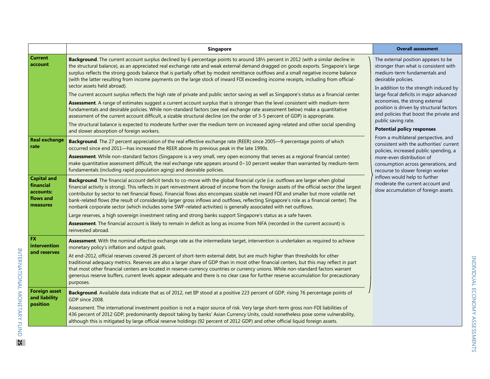|                                                                       | Singapore                                                                                                                                                                                                                                                                                                                                                                                                                                                                                                                                                                                                                                                                                                                                                                                                                                                                                                                                                                                                                                                                                                                                                                                                                                                                                                                    | <b>Overall assessment</b>                                                                                                                                                                                                                                                                                                                                                                                     |
|-----------------------------------------------------------------------|------------------------------------------------------------------------------------------------------------------------------------------------------------------------------------------------------------------------------------------------------------------------------------------------------------------------------------------------------------------------------------------------------------------------------------------------------------------------------------------------------------------------------------------------------------------------------------------------------------------------------------------------------------------------------------------------------------------------------------------------------------------------------------------------------------------------------------------------------------------------------------------------------------------------------------------------------------------------------------------------------------------------------------------------------------------------------------------------------------------------------------------------------------------------------------------------------------------------------------------------------------------------------------------------------------------------------|---------------------------------------------------------------------------------------------------------------------------------------------------------------------------------------------------------------------------------------------------------------------------------------------------------------------------------------------------------------------------------------------------------------|
| <b>Current</b><br>account                                             | Background. The current account surplus declined by 6 percentage points to around 181/2 percent in 2012 (with a similar decline in<br>the structural balance), as an appreciated real exchange rate and weak external demand dragged on goods exports. Singapore's large<br>surplus reflects the strong goods balance that is partially offset by modest remittance outflows and a small negative income balance<br>(with the latter resulting from income payments on the large stock of inward FDI exceeding income receipts, including from official-<br>sector assets held abroad).<br>The current account surplus reflects the high rate of private and public sector saving as well as Singapore's status as a financial center.<br>Assessment. A range of estimates suggest a current account surplus that is stronger than the level consistent with medium-term<br>fundamentals and desirable policies. While non-standard factors (see real exchange rate assessment below) make a quantitative<br>assessment of the current account difficult, a sizable structural decline (on the order of 3-5 percent of GDP) is appropriate.<br>The structural balance is expected to moderate further over the medium term on increased aging-related and other social spending<br>and slower absorption of foreign workers. | The external position appears to be<br>stronger than what is consistent with<br>medium-term fundamentals and<br>desirable policies.<br>In addition to the strength induced by<br>large fiscal deficits in major advanced<br>economies, the strong external<br>position is driven by structural factors<br>and policies that boost the private and<br>public saving rate.<br><b>Potential policy responses</b> |
| <b>Real exchange</b><br>rate                                          | Background. The 27 percent appreciation of the real effective exchange rate (REER) since 2005-9 percentage points of which<br>occurred since end 2011—has increased the REER above its previous peak in the late 1990s.<br>Assessment. While non-standard factors (Singapore is a very small, very open economy that serves as a regional financial center)<br>make quantitative assessment difficult, the real exchange rate appears around 0-10 percent weaker than warranted by medium-term<br>fundamentals (including rapid population aging) and desirable policies.                                                                                                                                                                                                                                                                                                                                                                                                                                                                                                                                                                                                                                                                                                                                                    | From a multilateral perspective, and<br>consistent with the authorities' current<br>policies, increased public spending, a<br>more-even distribution of<br>consumption across generations, and<br>recourse to slower foreign worker                                                                                                                                                                           |
| <b>Capital and</b><br>financial<br>accounts:<br>flows and<br>measures | Background. The financial account deficit tends to co-move with the global financial cycle (i.e. outflows are larger when global<br>financial activity is strong). This reflects in part reinvestment abroad of income from the foreign assets of the official sector (the largest<br>contributor by sector to net financial flows). Financial flows also encompass sizable net inward FDI and smaller but more volatile net<br>bank-related flows (the result of considerably larger gross inflows and outflows, reflecting Singapore's role as a financial center). The<br>nonbank corporate sector (which includes some SWF-related activities) is generally associated with net outflows.<br>Large reserves, a high sovereign investment rating and strong banks support Singapore's status as a safe haven.<br>Assessment. The financial account is likely to remain in deficit as long as income from NFA (recorded in the current account) is<br>reinvested abroad.                                                                                                                                                                                                                                                                                                                                                   | inflows would help to further<br>moderate the current account and<br>slow accumulation of foreign assets.                                                                                                                                                                                                                                                                                                     |
| <b>FX</b><br>intervention<br>and reserves                             | Assessment. With the nominal effective exchange rate as the intermediate target, intervention is undertaken as required to achieve<br>monetary policy's inflation and output goals.<br>At end-2012, official reserves covered 26 percent of short-term external debt, but are much higher than thresholds for other<br>traditional adequacy metrics. Reserves are also a larger share of GDP than in most other financial centers, but this may reflect in part<br>that most other financial centers are located in reserve-currency countries or currency unions. While non-standard factors warrant<br>generous reserve buffers, current levels appear adequate and there is no clear case for further reserve accumulation for precautionary<br>purposes.                                                                                                                                                                                                                                                                                                                                                                                                                                                                                                                                                                 |                                                                                                                                                                                                                                                                                                                                                                                                               |
| <b>Foreign asset</b><br>and liability<br>position                     | Background. Available data indicate that as of 2012, net IIP stood at a positive 223 percent of GDP, rising 76 percentage points of<br>GDP since 2008.<br>Assessment. The international investment position is not a major source of risk. Very large short-term gross non-FDI liabilities of<br>436 percent of 2012 GDP, predominantly deposit taking by banks' Asian Currency Units, could nonetheless pose some vulnerability,<br>although this is mitigated by large official reserve holdings (92 percent of 2012 GDP) and other official liquid foreign assets.                                                                                                                                                                                                                                                                                                                                                                                                                                                                                                                                                                                                                                                                                                                                                        |                                                                                                                                                                                                                                                                                                                                                                                                               |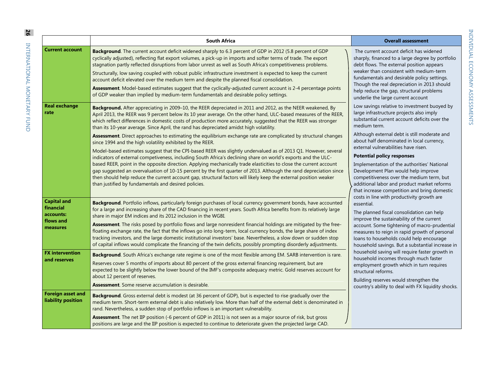|                                                                       | <b>South Africa</b>                                                                                                                                                                                                                                                                                                                                                                                                                                                                                                                                                                                                                                                                                                                                                                                                                                                                                                                                                                                                                                                                                                                                                                                                                                                                       | <b>Overall assessment</b>                                                                                                                                                                                                                                                                                                                                                                                                                                                                                                                                                                                                                                                                                                                                                                                                                                                                                                                                                                                                                                                                                                                                                                                                                                                                                                                                                                                                                                                                                                                                          |
|-----------------------------------------------------------------------|-------------------------------------------------------------------------------------------------------------------------------------------------------------------------------------------------------------------------------------------------------------------------------------------------------------------------------------------------------------------------------------------------------------------------------------------------------------------------------------------------------------------------------------------------------------------------------------------------------------------------------------------------------------------------------------------------------------------------------------------------------------------------------------------------------------------------------------------------------------------------------------------------------------------------------------------------------------------------------------------------------------------------------------------------------------------------------------------------------------------------------------------------------------------------------------------------------------------------------------------------------------------------------------------|--------------------------------------------------------------------------------------------------------------------------------------------------------------------------------------------------------------------------------------------------------------------------------------------------------------------------------------------------------------------------------------------------------------------------------------------------------------------------------------------------------------------------------------------------------------------------------------------------------------------------------------------------------------------------------------------------------------------------------------------------------------------------------------------------------------------------------------------------------------------------------------------------------------------------------------------------------------------------------------------------------------------------------------------------------------------------------------------------------------------------------------------------------------------------------------------------------------------------------------------------------------------------------------------------------------------------------------------------------------------------------------------------------------------------------------------------------------------------------------------------------------------------------------------------------------------|
| <b>Current account</b>                                                | Background. The current account deficit widened sharply to 6.3 percent of GDP in 2012 (5.8 percent of GDP<br>cyclically adjusted), reflecting flat export volumes, a pick-up in imports and softer terms of trade. The export<br>stagnation partly reflected disruptions from labor unrest as well as South Africa's competitiveness problems.<br>Structurally, low saving coupled with robust public infrastructure investment is expected to keep the current<br>account deficit elevated over the medium term and despite the planned fiscal consolidation.<br>Assessment. Model-based estimates suggest that the cyclically-adjusted current account is 2-4 percentage points<br>of GDP weaker than implied by medium-term fundamentals and desirable policy settings.                                                                                                                                                                                                                                                                                                                                                                                                                                                                                                                | The current account deficit has widened<br>sharply, financed to a large degree by portfolio<br>debt flows. The external position appears<br>weaker than consistent with medium-term<br>fundamentals and desirable policy settings.<br>Though the real depreciation in 2013 should<br>help reduce the gap, structural problems<br>underlie the large current account<br>Low savings relative to investment buoyed by<br>large infrastructure projects also imply<br>substantial current account deficits over the<br>medium term.<br>Although external debt is still moderate and<br>about half denominated in local currency,<br>external vulnerabilities have risen.<br><b>Potential policy responses</b><br>Implementation of the authorities' National<br>Development Plan would help improve<br>competitiveness over the medium term, but<br>additional labor and product market reforms<br>that increase competition and bring domestic<br>costs in line with productivity growth are<br>essential.<br>The planned fiscal consolidation can help<br>improve the sustainability of the current<br>account. Some tightening of macro-prudential<br>measures to reign in rapid growth of personal<br>loans to households could help encourage<br>household savings. But a substantial increase in<br>household saving will require faster growth in<br>household incomes through much faster<br>employment growth which in turn requires<br>structural reforms.<br>Building reserves would strengthen the<br>country's ability to deal with FX liquidity shocks. |
| <b>Real exchange</b><br>rate                                          | Background. After appreciating in 2009-10, the REER depreciated in 2011 and 2012, as the NEER weakened, By<br>April 2013, the REER was 9 percent below its 10 year average. On the other hand, ULC-based measures of the REER,<br>which reflect differences in domestic costs of production more accurately, suggested that the REER was stronger<br>than its 10-year average. Since April, the rand has depreciated amidst high volatility.<br>Assessment. Direct approaches to estimating the equilibrium exchange rate are complicated by structural changes<br>since 1994 and the high volatility exhibited by the REER.<br>Model-based estimates suggest that the CPI-based REER was slightly undervalued as of 2013 Q1. However, several<br>indicators of external competiveness, including South Africa's declining share on world's exports and the ULC-<br>based REER, point in the opposite direction. Applying mechanically trade elasticities to close the current account<br>gap suggested an overvaluation of 10-15 percent by the first quarter of 2013. Although the rand depreciation since<br>then should help reduce the current account gap, structural factors will likely keep the external position weaker<br>than justified by fundamentals and desired policies. |                                                                                                                                                                                                                                                                                                                                                                                                                                                                                                                                                                                                                                                                                                                                                                                                                                                                                                                                                                                                                                                                                                                                                                                                                                                                                                                                                                                                                                                                                                                                                                    |
| <b>Capital and</b><br>financial<br>accounts:<br>flows and<br>measures | Background. Portfolio inflows, particularly foreign purchases of local currency government bonds, have accounted<br>for a large and increasing share of the CAD financing in recent years. South Africa benefits from its relatively large<br>share in major EM indices and its 2012 inclusion in the WGBI.<br>Assessment. The risks posed by portfolio flows and large nonresident financial holdings are mitigated by the free-<br>floating exchange rate, the fact that the inflows go into long-term, local currency bonds, the large share of index<br>tracking investors, and the large domestic institutional investors' base. Nevertheless, a slow down or sudden stop<br>of capital inflows would complicate the financing of the twin deficits, possibly prompting disorderly adjustments.                                                                                                                                                                                                                                                                                                                                                                                                                                                                                      |                                                                                                                                                                                                                                                                                                                                                                                                                                                                                                                                                                                                                                                                                                                                                                                                                                                                                                                                                                                                                                                                                                                                                                                                                                                                                                                                                                                                                                                                                                                                                                    |
| <b>FX</b> intervention<br>and reserves                                | Background. South Africa's exchange rate regime is one of the most flexible among EM. SARB intervention is rare.<br>Reserves cover 5 months of imports about 80 percent of the gross external financing requirement, but are<br>expected to be slightly below the lower bound of the IMF's composite adequacy metric. Gold reserves account for<br>about 12 percent of reserves.<br>Assessment. Some reserve accumulation is desirable.                                                                                                                                                                                                                                                                                                                                                                                                                                                                                                                                                                                                                                                                                                                                                                                                                                                   |                                                                                                                                                                                                                                                                                                                                                                                                                                                                                                                                                                                                                                                                                                                                                                                                                                                                                                                                                                                                                                                                                                                                                                                                                                                                                                                                                                                                                                                                                                                                                                    |
| <b>Foreign asset and</b><br>liability position                        | Background. Gross external debt is modest (at 36 percent of GDP), but is expected to rise gradually over the<br>medium term. Short-term external debt is also relatively low. More than half of the external debt is denominated in<br>rand. Nevertheless, a sudden stop of portfolio inflows is an important vulnerability.<br>Assessment. The net IIP position (-6 percent of GDP in 2011) is not seen as a major source of risk, but gross<br>positions are large and the IIP position is expected to continue to deteriorate given the projected large CAD.                                                                                                                                                                                                                                                                                                                                                                                                                                                                                                                                                                                                                                                                                                                           |                                                                                                                                                                                                                                                                                                                                                                                                                                                                                                                                                                                                                                                                                                                                                                                                                                                                                                                                                                                                                                                                                                                                                                                                                                                                                                                                                                                                                                                                                                                                                                    |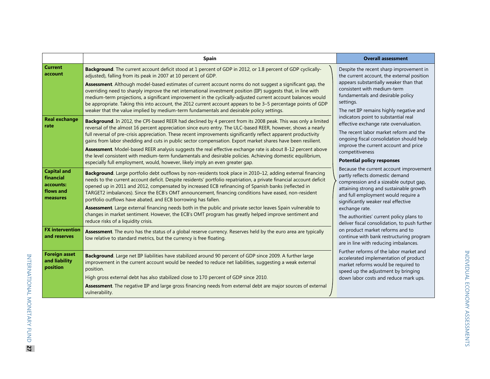|                                                                       | <b>Spain</b>                                                                                                                                                                                                                                                                                                                                                                                                                                                                                                                                                                                                                                                                                                                                                                      | <b>Overall assessment</b>                                                                                                                                                                                                                                                                                                                                                                                                                                                                                                                                                                                                                                                                                                                                                                                                                                                                                                                                                                                                     |
|-----------------------------------------------------------------------|-----------------------------------------------------------------------------------------------------------------------------------------------------------------------------------------------------------------------------------------------------------------------------------------------------------------------------------------------------------------------------------------------------------------------------------------------------------------------------------------------------------------------------------------------------------------------------------------------------------------------------------------------------------------------------------------------------------------------------------------------------------------------------------|-------------------------------------------------------------------------------------------------------------------------------------------------------------------------------------------------------------------------------------------------------------------------------------------------------------------------------------------------------------------------------------------------------------------------------------------------------------------------------------------------------------------------------------------------------------------------------------------------------------------------------------------------------------------------------------------------------------------------------------------------------------------------------------------------------------------------------------------------------------------------------------------------------------------------------------------------------------------------------------------------------------------------------|
| <b>Current</b><br>account                                             | Background. The current account deficit stood at 1 percent of GDP in 2012, or 1.8 percent of GDP cyclically-<br>adjusted), falling from its peak in 2007 at 10 percent of GDP.<br>Assessment. Although model-based estimates of current account norms do not suggest a significant gap, the<br>overriding need to sharply improve the net international investment position (IIP) suggests that, in line with<br>medium-term projections, a significant improvement in the cyclically-adjusted current account balances would<br>be appropriate. Taking this into account, the 2012 current account appears to be 3-5 percentage points of GDP<br>weaker that the value implied by medium-term fundamentals and desirable policy settings.                                        | Despite the recent sharp improvement in<br>the current account, the external position<br>appears substantially weaker than that<br>consistent with medium-term<br>fundamentals and desirable policy<br>settings.<br>The net IIP remains highly negative and<br>indicators point to substantial real<br>effective exchange rate overvaluation.<br>The recent labor market reform and the<br>ongoing fiscal consolidation should help<br>improve the current account and price<br>competitiveness<br><b>Potential policy responses</b><br>Because the current account improvement<br>partly reflects domestic demand<br>compression and a sizeable output gap,<br>attaining strong and sustainable growth<br>and full employment would require a<br>significantly weaker real effective<br>exchange rate.<br>The authorities' current policy plans to<br>deliver fiscal consolidation, to push further<br>on product market reforms and to<br>continue with bank restructuring program<br>are in line with reducing imbalances. |
| <b>Real exchange</b><br>rate                                          | Background. In 2012, the CPI-based REER had declined by 4 percent from its 2008 peak. This was only a limited<br>reversal of the almost 16 percent appreciation since euro entry. The ULC-based REER, however, shows a nearly<br>full reversal of pre-crisis appreciation. These recent improvements significantly reflect apparent productivity<br>gains from labor shedding and cuts in public sector compensation. Export market shares have been resilient.<br>Assessment. Model-based REER analysis suggests the real effective exchange rate is about 8-12 percent above<br>the level consistent with medium-term fundamentals and desirable policies. Achieving domestic equilibrium,<br>especially full employment, would, however, likely imply an even greater gap.     |                                                                                                                                                                                                                                                                                                                                                                                                                                                                                                                                                                                                                                                                                                                                                                                                                                                                                                                                                                                                                               |
| <b>Capital and</b><br>financial<br>accounts:<br>flows and<br>measures | Background. Large portfolio debt outflows by non-residents took place in 2010-12, adding external financing<br>needs to the current account deficit. Despite residents' portfolio repatriation, a private financial account deficit<br>opened up in 2011 and 2012, compensated by increased ECB refinancing of Spanish banks (reflected in<br>TARGET2 imbalances). Since the ECB's OMT announcement, financing conditions have eased, non-resident<br>portfolio outflows have abated, and ECB borrowing has fallen.<br>Assessment. Large external financing needs both in the public and private sector leaves Spain vulnerable to<br>changes in market sentiment. However, the ECB's OMT program has greatly helped improve sentiment and<br>reduce risks of a liquidity crisis. |                                                                                                                                                                                                                                                                                                                                                                                                                                                                                                                                                                                                                                                                                                                                                                                                                                                                                                                                                                                                                               |
| <b>FX</b> intervention<br>and reserves                                | Assessment. The euro has the status of a global reserve currency. Reserves held by the euro area are typically<br>low relative to standard metrics, but the currency is free floating.                                                                                                                                                                                                                                                                                                                                                                                                                                                                                                                                                                                            |                                                                                                                                                                                                                                                                                                                                                                                                                                                                                                                                                                                                                                                                                                                                                                                                                                                                                                                                                                                                                               |
| <b>Foreign asset</b><br>and liability<br>position                     | Background. Large net IIP liabilities have stabilized around 90 percent of GDP since 2009. A further large<br>improvement in the current account would be needed to reduce net liabilities, suggesting a weak external<br>position.<br>High gross external debt has also stabilized close to 170 percent of GDP since 2010.<br>Assessment. The negative IIP and large gross financing needs from external debt are major sources of external<br>vulnerability.                                                                                                                                                                                                                                                                                                                    | Further reforms of the labor market and<br>accelerated implementation of product<br>market reforms would be required to<br>speed up the adjustment by bringing<br>down labor costs and reduce mark ups.                                                                                                                                                                                                                                                                                                                                                                                                                                                                                                                                                                                                                                                                                                                                                                                                                       |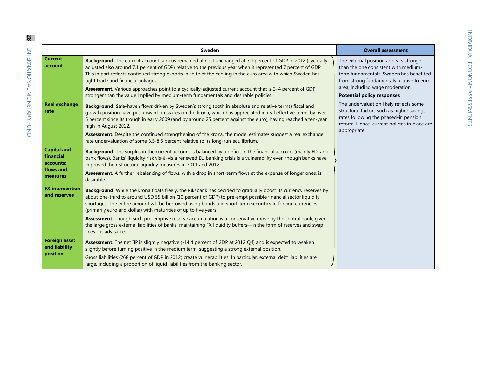| l<br>l<br>í                    |
|--------------------------------|
| ć<br>I                         |
| <b>(くりりく</b><br>J<br>֚֘֝֬<br>i |

|                                                                       | Sweden                                                                                                                                                                                                                                                                                                                                                                                                                                                                                                                                                                                                                                                                    | <b>Overall assessment</b>                                                                                                                                                                                                                                                                                                                                                                                                                        |
|-----------------------------------------------------------------------|---------------------------------------------------------------------------------------------------------------------------------------------------------------------------------------------------------------------------------------------------------------------------------------------------------------------------------------------------------------------------------------------------------------------------------------------------------------------------------------------------------------------------------------------------------------------------------------------------------------------------------------------------------------------------|--------------------------------------------------------------------------------------------------------------------------------------------------------------------------------------------------------------------------------------------------------------------------------------------------------------------------------------------------------------------------------------------------------------------------------------------------|
| <b>Current</b><br>account                                             | Background. The current account surplus remained almost unchanged at 7.1 percent of GDP in 2012 (cyclically<br>adjusted also around 7.1 percent of GDP) relative to the previous year when it represented 7 percent of GDP.<br>This in part reflects continued strong exports in spite of the cooling in the euro area with which Sweden has<br>tight trade and financial linkages.<br>Assessment. Various approaches point to a cyclically-adjusted current account that is 2-4 percent of GDP<br>stronger than the value implied by medium-term fundamentals and desirable policies.                                                                                    | The external position appears stronger<br>than the one consistent with medium-<br>term fundamentals. Sweden has benefited<br>from strong fundamentals relative to euro<br>area, including wage moderation.<br><b>Potential policy responses</b><br>The undervaluation likely reflects some<br>structural factors such as higher savings<br>rates following the phased-in pension<br>reform. Hence, current policies in place are<br>appropriate. |
| <b>Real exchange</b><br>rate                                          | Background. Safe-haven flows driven by Sweden's strong (both in absolute and relative terms) fiscal and<br>growth position have put upward pressures on the krona, which has appreciated in real effective terms by over<br>5 percent since its trough in early 2009 (and by around 25 percent against the euro), having reached a ten-year<br>high in August 2012.<br>Assessment. Despite the continued strengthening of the krona, the model estimates suggest a real exchange<br>rate undervaluation of some 3.5-8.5 percent relative to its long-run equilibrium.                                                                                                     |                                                                                                                                                                                                                                                                                                                                                                                                                                                  |
| <b>Capital and</b><br>financial<br>accounts:<br>flows and<br>measures | Background. The surplus in the current account is balanced by a deficit in the financial account (mainly FDI and<br>bank flows). Banks' liquidity risk vis-à-vis a renewed EU banking crisis is a vulnerability even though banks have<br>improved their structural liquidity measures in 2011 and 2012.<br><b>Assessment.</b> A further rebalancing of flows, with a drop in short-term flows at the expense of longer ones, is<br>desirable.                                                                                                                                                                                                                            |                                                                                                                                                                                                                                                                                                                                                                                                                                                  |
| <b>FX</b> intervention<br>and reserves                                | Background. While the krona floats freely, the Riksbank has decided to gradually boost its currency reserves by<br>about one-third to around USD 55 billion (10 percent of GDP) to pre-empt possible financial sector liquidity<br>shortages. The entire amount will be borrowed using bonds and short-term securities in foreign currencies<br>(primarily euro and dollar) with maturities of up to five years.<br>Assessment. Though such pre-emptive reserve accumulation is a conservative move by the central bank, given<br>the large gross external liabilities of banks, maintaining FX liquidity buffers-in the form of reserves and swap<br>lines-is advisable. |                                                                                                                                                                                                                                                                                                                                                                                                                                                  |
| <b>Foreign asset</b><br>and liability<br>position                     | Assessment. The net IIP is slightly negative (-14.4 percent of GDP at 2012 Q4) and is expected to weaken<br>slightly before turning positive in the medium term, suggesting a strong external position.<br>Gross liabilities (268 percent of GDP in 2012) create vulnerabilities. In particular, external debt liabilities are<br>large, including a proportion of liquid liabilities from the banking sector.                                                                                                                                                                                                                                                            |                                                                                                                                                                                                                                                                                                                                                                                                                                                  |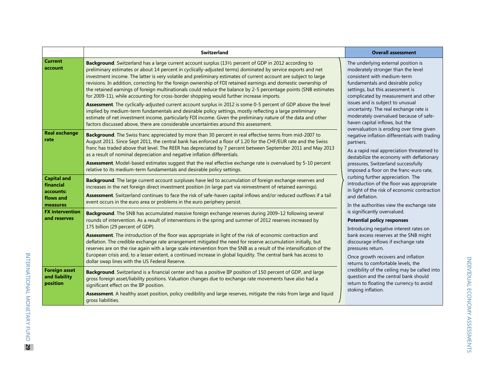|                                                                       | <b>Switzerland</b>                                                                                                                                                                                                                                                                                                                                                                                                                                                                                                                                                                                                                                                                                                                                                                                                                                                                                                                                                                                                                                                                                                   | <b>Overall assessment</b>                                                                                                                                                                                                                                                                                                                                                                                                                                                                                                                                                                                                                                                                                                                                                                                                                                                                                                                                                                                                                                                                                                                                                                                                                                                                                                              |
|-----------------------------------------------------------------------|----------------------------------------------------------------------------------------------------------------------------------------------------------------------------------------------------------------------------------------------------------------------------------------------------------------------------------------------------------------------------------------------------------------------------------------------------------------------------------------------------------------------------------------------------------------------------------------------------------------------------------------------------------------------------------------------------------------------------------------------------------------------------------------------------------------------------------------------------------------------------------------------------------------------------------------------------------------------------------------------------------------------------------------------------------------------------------------------------------------------|----------------------------------------------------------------------------------------------------------------------------------------------------------------------------------------------------------------------------------------------------------------------------------------------------------------------------------------------------------------------------------------------------------------------------------------------------------------------------------------------------------------------------------------------------------------------------------------------------------------------------------------------------------------------------------------------------------------------------------------------------------------------------------------------------------------------------------------------------------------------------------------------------------------------------------------------------------------------------------------------------------------------------------------------------------------------------------------------------------------------------------------------------------------------------------------------------------------------------------------------------------------------------------------------------------------------------------------|
| <b>Current</b><br>account                                             | Background. Switzerland has a large current account surplus (13½ percent of GDP in 2012 according to<br>preliminary estimates or about 14 percent in cyclically-adjusted terms) dominated by service exports and net<br>investment income. The latter is very volatile and preliminary estimates of current account are subject to large<br>revisions. In addition, correcting for the foreign ownership of FDI retained earnings and domestic ownership of<br>the retained earnings of foreign multinationals could reduce the balance by 2-5 percentage points (SNB estimates<br>for 2009-11), while accounting for cross-border shopping would further increase imports.<br>Assessment. The cyclically-adjusted current account surplus in 2012 is some 0-5 percent of GDP above the level<br>implied by medium-term fundamentals and desirable policy settings, mostly reflecting a large preliminary<br>estimate of net investment income, particularly FDI income. Given the preliminary nature of the data and other<br>factors discussed above, there are considerable uncertainties around this assessment. | The underlying external position is<br>moderately stronger than the level<br>consistent with medium-term<br>fundamentals and desirable policy<br>settings, but this assessment is<br>complicated by measurement and other<br>issues and is subject to unusual<br>uncertainty. The real exchange rate is<br>moderately overvalued because of safe-<br>haven capital inflows, but the<br>overvaluation is eroding over time given<br>negative inflation differentials with trading<br>partners.<br>As a rapid real appreciation threatened to<br>destabilize the economy with deflationary<br>pressures, Switzerland successfully<br>imposed a floor on the franc-euro rate,<br>curbing further appreciation. The<br>introduction of the floor was appropriate<br>in light of the risk of economic contraction<br>and deflation.<br>In the authorities view the exchange rate<br>is significantly overvalued.<br><b>Potential policy responses</b><br>Introducing negative interest rates on<br>bank excess reserves at the SNB might<br>discourage inflows if exchange rate<br>pressures return.<br>Once growth recovers and inflation<br>returns to comfortable levels, the<br>credibility of the ceiling may be called into<br>question and the central bank should<br>return to floating the currency to avoid<br>stoking inflation. |
| <b>Real exchange</b><br>rate                                          | Background. The Swiss franc appreciated by more than 30 percent in real effective terms from mid-2007 to<br>August 2011. Since Sept 2011, the central bank has enforced a floor of 1.20 for the CHF/EUR rate and the Swiss<br>franc has traded above that level. The REER has depreciated by 7 percent between September 2011 and May 2013<br>as a result of nominal depreciation and negative inflation differentials.<br>Assessment. Model-based estimates suggest that the real effective exchange rate is overvalued by 5-10 percent<br>relative to its medium-term fundamentals and desirable policy settings.                                                                                                                                                                                                                                                                                                                                                                                                                                                                                                  |                                                                                                                                                                                                                                                                                                                                                                                                                                                                                                                                                                                                                                                                                                                                                                                                                                                                                                                                                                                                                                                                                                                                                                                                                                                                                                                                        |
| <b>Capital and</b><br>financial<br>accounts:<br>flows and<br>measures | Background. The large current account surpluses have led to accumulation of foreign exchange reserves and<br>increases in the net foreign direct investment position (in large part via reinvestment of retained earnings).<br>Assessment. Switzerland continues to face the risk of safe-haven capital inflows and/or reduced outflows if a tail<br>event occurs in the euro area or problems in the euro periphery persist.                                                                                                                                                                                                                                                                                                                                                                                                                                                                                                                                                                                                                                                                                        |                                                                                                                                                                                                                                                                                                                                                                                                                                                                                                                                                                                                                                                                                                                                                                                                                                                                                                                                                                                                                                                                                                                                                                                                                                                                                                                                        |
| <b>FX</b> intervention<br>and reserves                                | Background. The SNB has accumulated massive foreign exchange reserves during 2009-12 following several<br>rounds of intervention. As a result of interventions in the spring and summer of 2012 reserves increased by<br>175 billion (29 percent of GDP).<br>Assessment. The introduction of the floor was appropriate in light of the risk of economic contraction and<br>deflation. The credible exchange rate arrangement mitigated the need for reserve accumulation initially, but<br>reserves are on the rise again with a large scale intervention from the SNB as a result of the intensification of the<br>European crisis and, to a lesser extent, a continued increase in global liquidity. The central bank has access to<br>dollar swap lines with the US Federal Reserve.                                                                                                                                                                                                                                                                                                                              |                                                                                                                                                                                                                                                                                                                                                                                                                                                                                                                                                                                                                                                                                                                                                                                                                                                                                                                                                                                                                                                                                                                                                                                                                                                                                                                                        |
| <b>Foreign asset</b><br>and liability<br>position                     | Background. Switzerland is a financial center and has a positive IIP position of 150 percent of GDP, and large<br>gross foreign asset/liability positions. Valuation changes due to exchange rate movements have also had a<br>significant effect on the IIP position.<br>Assessment. A healthy asset position, policy credibility and large reserves, mitigate the risks from large and liquid<br>gross liabilities.                                                                                                                                                                                                                                                                                                                                                                                                                                                                                                                                                                                                                                                                                                |                                                                                                                                                                                                                                                                                                                                                                                                                                                                                                                                                                                                                                                                                                                                                                                                                                                                                                                                                                                                                                                                                                                                                                                                                                                                                                                                        |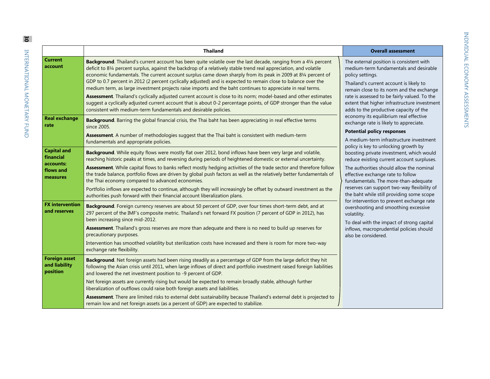|                                                                       | <b>Thailand</b>                                                                                                                                                                                                                                                                                                                                                                                                                                                                                                                                                                                                                                                                                                                                                                                                                                                                                       | <b>Overall assessment</b>                                                                                                                                                                                                                                                                                                                                                                                                                                                                                                                                                                                                                                                                                                                                                                                                                                           |
|-----------------------------------------------------------------------|-------------------------------------------------------------------------------------------------------------------------------------------------------------------------------------------------------------------------------------------------------------------------------------------------------------------------------------------------------------------------------------------------------------------------------------------------------------------------------------------------------------------------------------------------------------------------------------------------------------------------------------------------------------------------------------------------------------------------------------------------------------------------------------------------------------------------------------------------------------------------------------------------------|---------------------------------------------------------------------------------------------------------------------------------------------------------------------------------------------------------------------------------------------------------------------------------------------------------------------------------------------------------------------------------------------------------------------------------------------------------------------------------------------------------------------------------------------------------------------------------------------------------------------------------------------------------------------------------------------------------------------------------------------------------------------------------------------------------------------------------------------------------------------|
| <b>Current</b><br>account                                             | Background. Thailand's current account has been quite volatile over the last decade, ranging from a 41/4 percent<br>deficit to 81/4 percent surplus, against the backdrop of a relatively stable trend real appreciation, and volatile<br>economic fundamentals. The current account surplus came down sharply from its peak in 2009 at 81/4 percent of<br>GDP to 0.7 percent in 2012 (2 percent cyclically adjusted) and is expected to remain close to balance over the<br>medium term, as large investment projects raise imports and the baht continues to appreciate in real terms.<br>Assessment. Thailand's cyclically adjusted current account is close to its norm; model-based and other estimates<br>suggest a cyclically adjusted current account that is about 0-2 percentage points, of GDP stronger than the value<br>consistent with medium-term fundamentals and desirable policies. | The external position is consistent with<br>medium-term fundamentals and desirable<br>policy settings.<br>Thailand's current account is likely to<br>remain close to its norm and the exchange<br>rate is assessed to be fairly valued. To the<br>extent that higher infrastructure investment<br>adds to the productive capacity of the<br>economy its equilibrium real effective<br>exchange rate is likely to appreciate.<br><b>Potential policy responses</b><br>A medium-term infrastructure investment<br>policy is key to unlocking growth by<br>boosting private investment, which would<br>reduce existing current account surpluses.<br>The authorities should allow the nominal<br>effective exchange rate to follow<br>fundamentals. The more-than-adequate<br>reserves can support two-way flexibility of<br>the baht while still providing some scope |
| <b>Real exchange</b><br>rate                                          | <b>Background.</b> Barring the global financial crisis, the Thai baht has been appreciating in real effective terms<br>since 2005.                                                                                                                                                                                                                                                                                                                                                                                                                                                                                                                                                                                                                                                                                                                                                                    |                                                                                                                                                                                                                                                                                                                                                                                                                                                                                                                                                                                                                                                                                                                                                                                                                                                                     |
|                                                                       | Assessment. A number of methodologies suggest that the Thai baht is consistent with medium-term<br>fundamentals and appropriate policies.                                                                                                                                                                                                                                                                                                                                                                                                                                                                                                                                                                                                                                                                                                                                                             |                                                                                                                                                                                                                                                                                                                                                                                                                                                                                                                                                                                                                                                                                                                                                                                                                                                                     |
| <b>Capital and</b><br>financial<br>accounts:<br>flows and<br>measures | Background. While equity flows were mostly flat over 2012, bond inflows have been very large and volatile,<br>reaching historic peaks at times, and reversing during periods of heightened domestic or external uncertainty.                                                                                                                                                                                                                                                                                                                                                                                                                                                                                                                                                                                                                                                                          |                                                                                                                                                                                                                                                                                                                                                                                                                                                                                                                                                                                                                                                                                                                                                                                                                                                                     |
|                                                                       | Assessment. While capital flows to banks reflect mostly hedging activities of the trade sector and therefore follow<br>the trade balance, portfolio flows are driven by global push factors as well as the relatively better fundamentals of<br>the Thai economy compared to advanced economies.                                                                                                                                                                                                                                                                                                                                                                                                                                                                                                                                                                                                      |                                                                                                                                                                                                                                                                                                                                                                                                                                                                                                                                                                                                                                                                                                                                                                                                                                                                     |
|                                                                       | Portfolio inflows are expected to continue, although they will increasingly be offset by outward investment as the<br>authorities push forward with their financial account liberalization plans.                                                                                                                                                                                                                                                                                                                                                                                                                                                                                                                                                                                                                                                                                                     |                                                                                                                                                                                                                                                                                                                                                                                                                                                                                                                                                                                                                                                                                                                                                                                                                                                                     |
| <b>FX</b> intervention<br>and reserves                                | Background. Foreign currency reserves are about 50 percent of GDP, over four times short-term debt, and at<br>297 percent of the IMF's composite metric. Thailand's net forward FX position (7 percent of GDP in 2012), has<br>been increasing since mid-2012.                                                                                                                                                                                                                                                                                                                                                                                                                                                                                                                                                                                                                                        | for intervention to prevent exchange rate<br>overshooting and smoothing excessive<br>volatility.<br>To deal with the impact of strong capital                                                                                                                                                                                                                                                                                                                                                                                                                                                                                                                                                                                                                                                                                                                       |
|                                                                       | Assessment. Thailand's gross reserves are more than adequate and there is no need to build up reserves for<br>precautionary purposes.                                                                                                                                                                                                                                                                                                                                                                                                                                                                                                                                                                                                                                                                                                                                                                 | inflows, macroprudential policies should<br>also be considered.                                                                                                                                                                                                                                                                                                                                                                                                                                                                                                                                                                                                                                                                                                                                                                                                     |
|                                                                       | Intervention has smoothed volatility but sterilization costs have increased and there is room for more two-way<br>exchange rate flexibility.                                                                                                                                                                                                                                                                                                                                                                                                                                                                                                                                                                                                                                                                                                                                                          |                                                                                                                                                                                                                                                                                                                                                                                                                                                                                                                                                                                                                                                                                                                                                                                                                                                                     |
| <b>Foreign asset</b><br>and liability<br>position                     | Background. Net foreign assets had been rising steadily as a percentage of GDP from the large deficit they hit<br>following the Asian crisis until 2011, when large inflows of direct and portfolio investment raised foreign liabilities<br>and lowered the net investment position to -9 percent of GDP.                                                                                                                                                                                                                                                                                                                                                                                                                                                                                                                                                                                            |                                                                                                                                                                                                                                                                                                                                                                                                                                                                                                                                                                                                                                                                                                                                                                                                                                                                     |
|                                                                       | Net foreign assets are currently rising but would be expected to remain broadly stable, although further<br>liberalization of outflows could raise both foreign assets and liabilities.                                                                                                                                                                                                                                                                                                                                                                                                                                                                                                                                                                                                                                                                                                               |                                                                                                                                                                                                                                                                                                                                                                                                                                                                                                                                                                                                                                                                                                                                                                                                                                                                     |
|                                                                       | Assessment. There are limited risks to external debt sustainability because Thailand's external debt is projected to<br>remain low and net foreign assets (as a percent of GDP) are expected to stabilize.                                                                                                                                                                                                                                                                                                                                                                                                                                                                                                                                                                                                                                                                                            |                                                                                                                                                                                                                                                                                                                                                                                                                                                                                                                                                                                                                                                                                                                                                                                                                                                                     |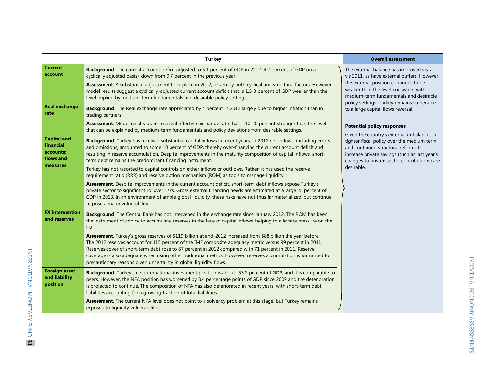|                                                           | <b>Turkey</b>                                                                                                                                                                                                                                                                                                                                                                                                                                                                                                                 | <b>Overall assessment</b>                                                                                                                                                                                                        |
|-----------------------------------------------------------|-------------------------------------------------------------------------------------------------------------------------------------------------------------------------------------------------------------------------------------------------------------------------------------------------------------------------------------------------------------------------------------------------------------------------------------------------------------------------------------------------------------------------------|----------------------------------------------------------------------------------------------------------------------------------------------------------------------------------------------------------------------------------|
| <b>Current</b><br>account                                 | Background. The current account deficit adjusted to 6.1 percent of GDP in 2012 (4.7 percent of GDP on a<br>cyclically adjusted basis), down from 9.7 percent in the previous year.                                                                                                                                                                                                                                                                                                                                            | The external balance has improved vis-à-<br>vis 2011, as have external buffers. However,                                                                                                                                         |
|                                                           | Assessment. A substantial adjustment took place in 2012, driven by both cyclical and structural factors. However,<br>model results suggest a cyclically-adjusted current account deficit that is 1.5-3 percent of GDP weaker than the<br>level implied by medium-term fundamentals and desirable policy settings.                                                                                                                                                                                                             | the external position continues to be<br>weaker than the level consistent with<br>medium-term fundamentals and desirable<br>policy settings. Turkey remains vulnerable                                                           |
| <b>Real exchange</b><br>rate                              | Background. The Real exchange rate appreciated by 4 percent in 2012 largely due to higher inflation than in<br>trading partners.                                                                                                                                                                                                                                                                                                                                                                                              | to a large capital flows reversal.                                                                                                                                                                                               |
|                                                           | Assessment. Model results point to a real effective exchange rate that is 10-20 percent stronger than the level<br>that can be explained by medium-term fundamentals and policy deviations from desirable settings.                                                                                                                                                                                                                                                                                                           | <b>Potential policy responses</b>                                                                                                                                                                                                |
| <b>Capital and</b><br>financial<br>accounts:<br>flows and | Background. Turkey has received substantial capital inflows in recent years. In 2012 net inflows, including errors<br>and omissions, amounted to some 10 percent of GDP, thereby over-financing the current account deficit and<br>resulting in reserve accumulation. Despite improvements in the maturity composition of capital inflows, short-<br>term debt remains the predominant financing instrument.                                                                                                                  | Given the country's external imbalances, a<br>tighter fiscal policy over the medium term<br>and continued structural reforms to<br>increase private savings (such as last year's<br>changes to private sector contributions) are |
| measures                                                  | Turkey has not resorted to capital controls on either inflows or outflows. Rather, it has used the reserve<br>requirement ratio (RRR) and reserve option mechanism (ROM) as tools to manage liquidity.                                                                                                                                                                                                                                                                                                                        | desirable.                                                                                                                                                                                                                       |
|                                                           | Assessment. Despite improvements in the current account deficit, short-term debt inflows expose Turkey's<br>private sector to significant rollover risks. Gross external financing needs are estimated at a large 28 percent of<br>GDP in 2013. In an environment of ample global liquidity, these risks have not thus far materialized, but continue<br>to pose a major vulnerability.                                                                                                                                       |                                                                                                                                                                                                                                  |
| <b>FX</b> intervention<br>and reserves                    | Background. The Central Bank has not intervened in the exchange rate since January 2012. The ROM has been<br>the instrument of choice to accumulate reserves in the face of capital inflows, helping to alleviate pressure on the<br>lira.                                                                                                                                                                                                                                                                                    |                                                                                                                                                                                                                                  |
|                                                           | Assessment. Turkey's gross reserves of \$119 billion at end-2012 increased from \$88 billion the year before.<br>The 2012 reserves account for 115 percent of the IMF composite adequacy metric versus 99 percent in 2011.<br>Reserves cover of short-term debt rose to 87 percent in 2012 compared with 71 percent in 2011. Reserve<br>coverage is also adequate when using other traditional metrics. However, reserves accumulation is warranted for<br>precautionary reasons given uncertainty in global liquidity flows. |                                                                                                                                                                                                                                  |
| <b>Foreign asset</b><br>and liability<br>position         | Background. Turkey's net international investment position is about -53.2 percent of GDP, and it is comparable to<br>peers. However, the NFA position has worsened by 8.4 percentage points of GDP since 2009 and the deterioration<br>is projected to continue. The composition of NFA has also deteriorated in recent years, with short-term debt<br>liabilities accounting for a growing fraction of total liabilities.                                                                                                    |                                                                                                                                                                                                                                  |
|                                                           | Assessment. The current NFA level does not point to a solvency problem at this stage, but Turkey remains<br>exposed to liquidity vulnerabilities.                                                                                                                                                                                                                                                                                                                                                                             |                                                                                                                                                                                                                                  |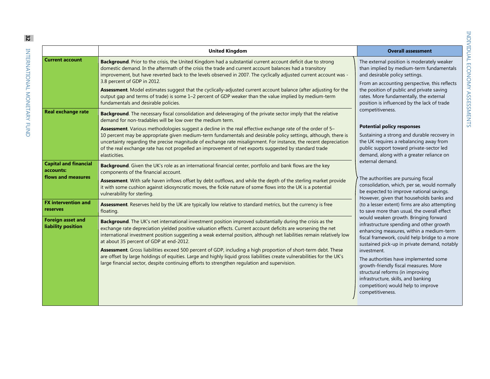|                                                                 | <b>United Kingdom</b>                                                                                                                                                                                                                                                                                                                                                                                                                                                                                                                                                                                                                                                                                                                        | <b>Overall assessment</b>                                                                                                                                                                                                                                                                                                                                                                                                                                                                                                                                                                                                                                                                                                                                                                                                                                                                                                                                                                                                                                                                                                                                                                                                                                                                                                               |
|-----------------------------------------------------------------|----------------------------------------------------------------------------------------------------------------------------------------------------------------------------------------------------------------------------------------------------------------------------------------------------------------------------------------------------------------------------------------------------------------------------------------------------------------------------------------------------------------------------------------------------------------------------------------------------------------------------------------------------------------------------------------------------------------------------------------------|-----------------------------------------------------------------------------------------------------------------------------------------------------------------------------------------------------------------------------------------------------------------------------------------------------------------------------------------------------------------------------------------------------------------------------------------------------------------------------------------------------------------------------------------------------------------------------------------------------------------------------------------------------------------------------------------------------------------------------------------------------------------------------------------------------------------------------------------------------------------------------------------------------------------------------------------------------------------------------------------------------------------------------------------------------------------------------------------------------------------------------------------------------------------------------------------------------------------------------------------------------------------------------------------------------------------------------------------|
| <b>Current account</b>                                          | Background. Prior to the crisis, the United Kingdom had a substantial current account deficit due to strong<br>domestic demand. In the aftermath of the crisis the trade and current account balances had a transitory<br>improvement, but have reverted back to the levels observed in 2007. The cyclically adjusted current account was -<br>3.8 percent of GDP in 2012.<br>Assessment. Model estimates suggest that the cyclically-adjusted current account balance (after adjusting for the<br>output gap and terms of trade) is some 1-2 percent of GDP weaker than the value implied by medium-term<br>fundamentals and desirable policies.                                                                                            | The external position is moderately weaker<br>than implied by medium-term fundamentals<br>and desirable policy settings.<br>From an accounting perspective, this reflects<br>the position of public and private saving<br>rates. More fundamentally, the external<br>position is influenced by the lack of trade<br>competitiveness.<br><b>Potential policy responses</b><br>Sustaining a strong and durable recovery in<br>the UK requires a rebalancing away from<br>public support toward private-sector led<br>demand, along with a greater reliance on<br>external demand.<br>The authorities are pursuing fiscal<br>consolidation, which, per se, would normally<br>be expected to improve national savings.<br>However, given that households banks and<br>(to a lesser extent) firms are also attempting<br>to save more than usual, the overall effect<br>would weaken growth. Bringing forward<br>infrastructure spending and other growth<br>enhancing measures, within a medium-term<br>fiscal framework, could help bridge to a more<br>sustained pick-up in private demand, notably<br>investment.<br>The authorities have implemented some<br>growth-friendly fiscal measures. More<br>structural reforms (in improving<br>infrastructure, skills, and banking<br>competition) would help to improve<br>competitiveness. |
| <b>Real exchange rate</b>                                       | Background. The necessary fiscal consolidation and deleveraging of the private sector imply that the relative<br>demand for non-tradables will be low over the medium term.<br><b>Assessment</b> . Various methodologies suggest a decline in the real effective exchange rate of the order of 5–<br>10 percent may be appropriate given medium-term fundamentals and desirable policy settings, although, there is<br>uncertainty regarding the precise magnitude of exchange rate misalignment. For instance, the recent depreciation<br>of the real exchange rate has not propelled an improvement of net exports suggested by standard trade<br>elasticities.                                                                            |                                                                                                                                                                                                                                                                                                                                                                                                                                                                                                                                                                                                                                                                                                                                                                                                                                                                                                                                                                                                                                                                                                                                                                                                                                                                                                                                         |
| <b>Capital and financial</b><br>accounts:<br>flows and measures | Background. Given the UK's role as an international financial center, portfolio and bank flows are the key<br>components of the financial account.<br>Assessment. With safe haven inflows offset by debt outflows, and while the depth of the sterling market provide<br>it with some cushion against idiosyncratic moves, the fickle nature of some flows into the UK is a potential<br>vulnerability for sterling.                                                                                                                                                                                                                                                                                                                         |                                                                                                                                                                                                                                                                                                                                                                                                                                                                                                                                                                                                                                                                                                                                                                                                                                                                                                                                                                                                                                                                                                                                                                                                                                                                                                                                         |
| <b>FX</b> intervention and<br>reserves                          | Assessment. Reserves held by the UK are typically low relative to standard metrics, but the currency is free<br>floating.                                                                                                                                                                                                                                                                                                                                                                                                                                                                                                                                                                                                                    |                                                                                                                                                                                                                                                                                                                                                                                                                                                                                                                                                                                                                                                                                                                                                                                                                                                                                                                                                                                                                                                                                                                                                                                                                                                                                                                                         |
| <b>Foreign asset and</b><br>liability position                  | Background. The UK's net international investment position improved substantially during the crisis as the<br>exchange rate depreciation yielded positive valuation effects. Current account deficits are worsening the net<br>international investment position suggesting a weak external position, although net liabilities remain relatively low<br>at about 35 percent of GDP at end-2012.<br>Assessment. Gross liabilities exceed 500 percent of GDP, including a high proportion of short-term debt. These<br>are offset by large holdings of equities. Large and highly liquid gross liabilities create vulnerabilities for the UK's<br>large financial sector, despite continuing efforts to strengthen regulation and supervision. |                                                                                                                                                                                                                                                                                                                                                                                                                                                                                                                                                                                                                                                                                                                                                                                                                                                                                                                                                                                                                                                                                                                                                                                                                                                                                                                                         |